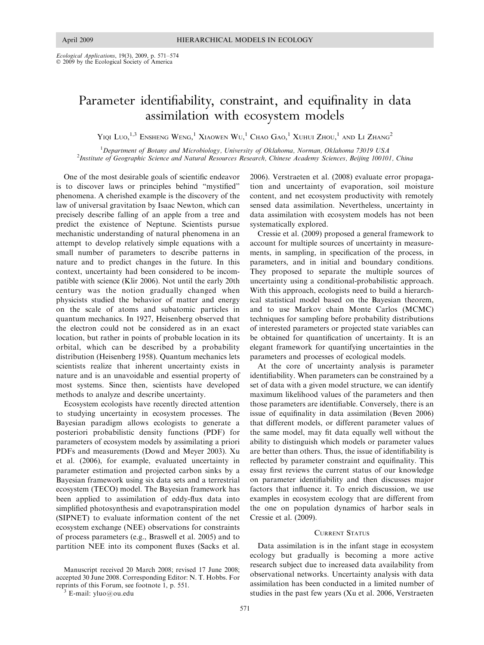Ecological Applications, 19(3), 2009, p. 571–574  $\odot$  2009 by the Ecological Society of America

# Parameter identifiability, constraint, and equifinality in data assimilation with ecosystem models

Yiqi Luo, $^{1,3}$  Ensheng Weng, $^1$  Xiaowen Wu, $^1$  Chao Gao, $^1$  Xuhui Zhou, $^1$  and Li Zhang $^2$ 

<sup>1</sup> Department of Botany and Microbiology, University of Oklahoma, Norman, Oklahoma 73019 USA<br><sup>2</sup>Institute of Geographic Science and Natural Pescurees Pescarch, Chinese Academy Sciences, Beijing 10010 <sup>2</sup>Institute of Geographic Science and Natural Resources Research, Chinese Academy Sciences, Beijing 100101, China

One of the most desirable goals of scientific endeavor is to discover laws or principles behind ''mystified'' phenomena. A cherished example is the discovery of the law of universal gravitation by Isaac Newton, which can precisely describe falling of an apple from a tree and predict the existence of Neptune. Scientists pursue mechanistic understanding of natural phenomena in an attempt to develop relatively simple equations with a small number of parameters to describe patterns in nature and to predict changes in the future. In this context, uncertainty had been considered to be incompatible with science (Klir 2006). Not until the early 20th century was the notion gradually changed when physicists studied the behavior of matter and energy on the scale of atoms and subatomic particles in quantum mechanics. In 1927, Heisenberg observed that the electron could not be considered as in an exact location, but rather in points of probable location in its orbital, which can be described by a probability distribution (Heisenberg 1958). Quantum mechanics lets scientists realize that inherent uncertainty exists in nature and is an unavoidable and essential property of most systems. Since then, scientists have developed methods to analyze and describe uncertainty.

Ecosystem ecologists have recently directed attention to studying uncertainty in ecosystem processes. The Bayesian paradigm allows ecologists to generate a posteriori probabilistic density functions (PDF) for parameters of ecosystem models by assimilating a priori PDFs and measurements (Dowd and Meyer 2003). Xu et al. (2006), for example, evaluated uncertainty in parameter estimation and projected carbon sinks by a Bayesian framework using six data sets and a terrestrial ecosystem (TECO) model. The Bayesian framework has been applied to assimilation of eddy-flux data into simplified photosynthesis and evapotranspiration model (SIPNET) to evaluate information content of the net ecosystem exchange (NEE) observations for constraints of process parameters (e.g., Braswell et al. 2005) and to partition NEE into its component fluxes (Sacks et al.

Manuscript received 20 March 2008; revised 17 June 2008; accepted 30 June 2008. Corresponding Editor: N. T. Hobbs. For reprints of this Forum, see footnote 1, p. 551.<br> $3 E$ -mail: yluo@ou.edu

2006). Verstraeten et al. (2008) evaluate error propagation and uncertainty of evaporation, soil moisture content, and net ecosystem productivity with remotely sensed data assimilation. Nevertheless, uncertainty in data assimilation with ecosystem models has not been systematically explored.

Cressie et al. (2009) proposed a general framework to account for multiple sources of uncertainty in measurements, in sampling, in specification of the process, in parameters, and in initial and boundary conditions. They proposed to separate the multiple sources of uncertainty using a conditional-probabilistic approach. With this approach, ecologists need to build a hierarchical statistical model based on the Bayesian theorem, and to use Markov chain Monte Carlos (MCMC) techniques for sampling before probability distributions of interested parameters or projected state variables can be obtained for quantification of uncertainty. It is an elegant framework for quantifying uncertainties in the parameters and processes of ecological models.

At the core of uncertainty analysis is parameter identifiability. When parameters can be constrained by a set of data with a given model structure, we can identify maximum likelihood values of the parameters and then those parameters are identifiable. Conversely, there is an issue of equifinality in data assimilation (Beven 2006) that different models, or different parameter values of the same model, may fit data equally well without the ability to distinguish which models or parameter values are better than others. Thus, the issue of identifiability is reflected by parameter constraint and equifinality. This essay first reviews the current status of our knowledge on parameter identifiability and then discusses major factors that influence it. To enrich discussion, we use examples in ecosystem ecology that are different from the one on population dynamics of harbor seals in Cressie et al. (2009).

### CURRENT STATUS

Data assimilation is in the infant stage in ecosystem ecology but gradually is becoming a more active research subject due to increased data availability from observational networks. Uncertainty analysis with data assimilation has been conducted in a limited number of studies in the past few years (Xu et al. 2006, Verstraeten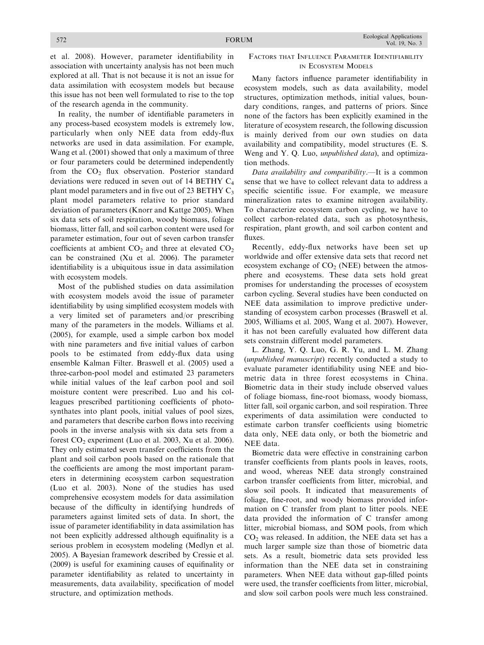et al. 2008). However, parameter identifiability in association with uncertainty analysis has not been much explored at all. That is not because it is not an issue for data assimilation with ecosystem models but because this issue has not been well formulated to rise to the top of the research agenda in the community.

In reality, the number of identifiable parameters in any process-based ecosystem models is extremely low, particularly when only NEE data from eddy-flux networks are used in data assimilation. For example, Wang et al. (2001) showed that only a maximum of three or four parameters could be determined independently from the  $CO<sub>2</sub>$  flux observation. Posterior standard deviations were reduced in seven out of 14 BETHY C4 plant model parameters and in five out of 23 BETHY  $C_3$ plant model parameters relative to prior standard deviation of parameters (Knorr and Kattge 2005). When six data sets of soil respiration, woody biomass, foliage biomass, litter fall, and soil carbon content were used for parameter estimation, four out of seven carbon transfer coefficients at ambient  $CO<sub>2</sub>$  and three at elevated  $CO<sub>2</sub>$ can be constrained (Xu et al. 2006). The parameter identifiability is a ubiquitous issue in data assimilation with ecosystem models.

Most of the published studies on data assimilation with ecosystem models avoid the issue of parameter identifiability by using simplified ecosystem models with a very limited set of parameters and/or prescribing many of the parameters in the models. Williams et al. (2005), for example, used a simple carbon box model with nine parameters and five initial values of carbon pools to be estimated from eddy-flux data using ensemble Kalman Filter. Braswell et al. (2005) used a three-carbon-pool model and estimated 23 parameters while initial values of the leaf carbon pool and soil moisture content were prescribed. Luo and his colleagues prescribed partitioning coefficients of photosynthates into plant pools, initial values of pool sizes, and parameters that describe carbon flows into receiving pools in the inverse analysis with six data sets from a forest  $CO_2$  experiment (Luo et al. 2003, Xu et al. 2006). They only estimated seven transfer coefficients from the plant and soil carbon pools based on the rationale that the coefficients are among the most important parameters in determining ecosystem carbon sequestration (Luo et al. 2003). None of the studies has used comprehensive ecosystem models for data assimilation because of the difficulty in identifying hundreds of parameters against limited sets of data. In short, the issue of parameter identifiability in data assimilation has not been explicitly addressed although equifinality is a serious problem in ecosystem modeling (Medlyn et al. 2005). A Bayesian framework described by Cressie et al. (2009) is useful for examining causes of equifinality or parameter identifiability as related to uncertainty in measurements, data availability, specification of model structure, and optimization methods.

## FACTORS THAT INFLUENCE PARAMETER IDENTIFIABILITY IN ECOSYSTEM MODELS

Many factors influence parameter identifiability in ecosystem models, such as data availability, model structures, optimization methods, initial values, boundary conditions, ranges, and patterns of priors. Since none of the factors has been explicitly examined in the literature of ecosystem research, the following discussion is mainly derived from our own studies on data availability and compatibility, model structures (E. S. Weng and Y. Q. Luo, unpublished data), and optimization methods.

Data availability and compatibility.—It is a common sense that we have to collect relevant data to address a specific scientific issue. For example, we measure mineralization rates to examine nitrogen availability. To characterize ecosystem carbon cycling, we have to collect carbon-related data, such as photosynthesis, respiration, plant growth, and soil carbon content and fluxes.

Recently, eddy-flux networks have been set up worldwide and offer extensive data sets that record net ecosystem exchange of  $CO<sub>2</sub>$  (NEE) between the atmosphere and ecosystems. These data sets hold great promises for understanding the processes of ecosystem carbon cycling. Several studies have been conducted on NEE data assimilation to improve predictive understanding of ecosystem carbon processes (Braswell et al. 2005, Williams et al. 2005, Wang et al. 2007). However, it has not been carefully evaluated how different data sets constrain different model parameters.

L. Zhang, Y. Q. Luo, G. R. Yu, and L. M. Zhang (unpublished manuscript) recently conducted a study to evaluate parameter identifiability using NEE and biometric data in three forest ecosystems in China. Biometric data in their study include observed values of foliage biomass, fine-root biomass, woody biomass, litter fall, soil organic carbon, and soil respiration. Three experiments of data assimilation were conducted to estimate carbon transfer coefficients using biometric data only, NEE data only, or both the biometric and NEE data.

Biometric data were effective in constraining carbon transfer coefficients from plants pools in leaves, roots, and wood, whereas NEE data strongly constrained carbon transfer coefficients from litter, microbial, and slow soil pools. It indicated that measurements of foliage, fine-root, and woody biomass provided information on C transfer from plant to litter pools. NEE data provided the information of C transfer among litter, microbial biomass, and SOM pools, from which  $CO<sub>2</sub>$  was released. In addition, the NEE data set has a much larger sample size than those of biometric data sets. As a result, biometric data sets provided less information than the NEE data set in constraining parameters. When NEE data without gap-filled points were used, the transfer coefficients from litter, microbial, and slow soil carbon pools were much less constrained.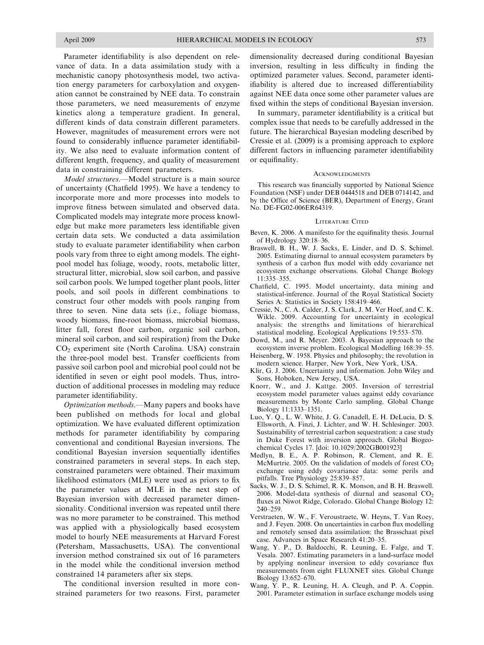Parameter identifiability is also dependent on relevance of data. In a data assimilation study with a mechanistic canopy photosynthesis model, two activation energy parameters for carboxylation and oxygenation cannot be constrained by NEE data. To constrain those parameters, we need measurements of enzyme kinetics along a temperature gradient. In general, different kinds of data constrain different parameters. However, magnitudes of measurement errors were not found to considerably influence parameter identifiability. We also need to evaluate information content of different length, frequency, and quality of measurement data in constraining different parameters.

Model structures.—Model structure is a main source of uncertainty (Chatfield 1995). We have a tendency to incorporate more and more processes into models to improve fitness between simulated and observed data. Complicated models may integrate more process knowledge but make more parameters less identifiable given certain data sets. We conducted a data assimilation study to evaluate parameter identifiability when carbon pools vary from three to eight among models. The eightpool model has foliage, woody, roots, metabolic litter, structural litter, microbial, slow soil carbon, and passive soil carbon pools. We lumped together plant pools, litter pools, and soil pools in different combinations to construct four other models with pools ranging from three to seven. Nine data sets (i.e., foliage biomass, woody biomass, fine-root biomass, microbial biomass, litter fall, forest floor carbon, organic soil carbon, mineral soil carbon, and soil respiration) from the Duke CO<sub>2</sub> experiment site (North Carolina. USA) constrain the three-pool model best. Transfer coefficients from passive soil carbon pool and microbial pool could not be identified in seven or eight pool models. Thus, introduction of additional processes in modeling may reduce parameter identifiability.

Optimization methods.—Many papers and books have been published on methods for local and global optimization. We have evaluated different optimization methods for parameter identifiability by comparing conventional and conditional Bayesian inversions. The conditional Bayesian inversion sequentially identifies constrained parameters in several steps. In each step, constrained parameters were obtained. Their maximum likelihood estimators (MLE) were used as priors to fix the parameter values at MLE in the next step of Bayesian inversion with decreased parameter dimensionality. Conditional inversion was repeated until there was no more parameter to be constrained. This method was applied with a physiologically based ecosystem model to hourly NEE measurements at Harvard Forest (Petersham, Massachusetts, USA). The conventional inversion method constrained six out of 16 parameters in the model while the conditional inversion method constrained 14 parameters after six steps.

The conditional inversion resulted in more constrained parameters for two reasons. First, parameter dimensionality decreased during conditional Bayesian inversion, resulting in less difficulty in finding the optimized parameter values. Second, parameter identiifiability is altered due to increased differentiability against NEE data once some other parameter values are fixed within the steps of conditional Bayesian inversion.

In summary, parameter identifiability is a critical but complex issue that needs to be carefully addressed in the future. The hierarchical Bayesian modeling described by Cressie et al. (2009) is a promising approach to explore different factors in influencing parameter identifiability or equifinality.

### **ACKNOWLEDGMENTS**

This research was financially supported by National Science Foundation (NSF) under DEB 0444518 and DEB 0714142, and by the Office of Science (BER), Department of Energy, Grant No. DE-FG02-006ER64319.

- Beven, K. 2006. A manifesto for the equifinality thesis. Journal of Hydrology 320:18–36.
- Braswell, B. H., W. J. Sacks, E. Linder, and D. S. Schimel. 2005. Estimating diurnal to annual ecosystem parameters by synthesis of a carbon flux model with eddy covariance net ecosystem exchange observations. Global Change Biology 11:335–355.
- Chatfield, C. 1995. Model uncertainty, data mining and statistical-inference. Journal of the Royal Statistical Society Series A: Statistics in Society 158:419–466.
- Cressie, N., C. A. Calder, J. S. Clark, J. M. Ver Hoef, and C. K. Wikle. 2009. Accounting for uncertainty in ecological analysis: the strengths and limitations of hierarchical statistical modeling. Ecological Applications 19:553–570.
- Dowd, M., and R. Meyer. 2003. A Bayesian approach to the ecosystem inverse problem. Ecological Modelling 168:39–55.
- Heisenberg, W. 1958. Physics and philosophy; the revolution in modern science. Harper, New York, New York, USA.
- Klir, G. J. 2006. Uncertainty and information. John Wiley and Sons, Hoboken, New Jersey, USA.
- Knorr, W., and J. Kattge. 2005. Inversion of terrestrial ecosystem model parameter values against eddy covariance measurements by Monte Carlo sampling. Global Change Biology 11:1333–1351.
- Luo, Y. Q., L. W. White, J. G. Canadell, E. H. DeLucia, D. S. Ellsworth, A. Finzi, J. Lichter, and W. H. Schlesinger. 2003. Sustainability of terrestrial carbon sequestration: a case study in Duke Forest with inversion approach. Global Biogeochemical Cycles 17. [doi: 10.1029/2002GB001923]
- Medlyn, B. E., A. P. Robinson, R. Clement, and R. E. McMurtrie. 2005. On the validation of models of forest  $CO<sub>2</sub>$ exchange using eddy covariance data: some perils and pitfalls. Tree Physiology 25:839–857.
- Sacks, W. J., D. S. Schimel, R. K. Monson, and B. H. Braswell. 2006. Model-data synthesis of diurnal and seasonal  $CO<sub>2</sub>$ fluxes at Niwot Ridge, Colorado. Global Change Biology 12: 240–259.
- Verstraeten, W. W., F. Veroustraete, W. Heyns, T. Van Roey, and J. Feyen. 2008. On uncertainties in carbon flux modelling and remotely sensed data assimilation: the Brasschaat pixel case. Advances in Space Research 41:20–35.
- Wang, Y. P., D. Baldocchi, R. Leuning, E. Falge, and T. Vesala. 2007. Estimating parameters in a land-surface model by applying nonlinear inversion to eddy covariance flux measurements from eight FLUXNET sites. Global Change Biology 13:652–670.
- Wang, Y. P., R. Leuning, H. A. Cleugh, and P. A. Coppin. 2001. Parameter estimation in surface exchange models using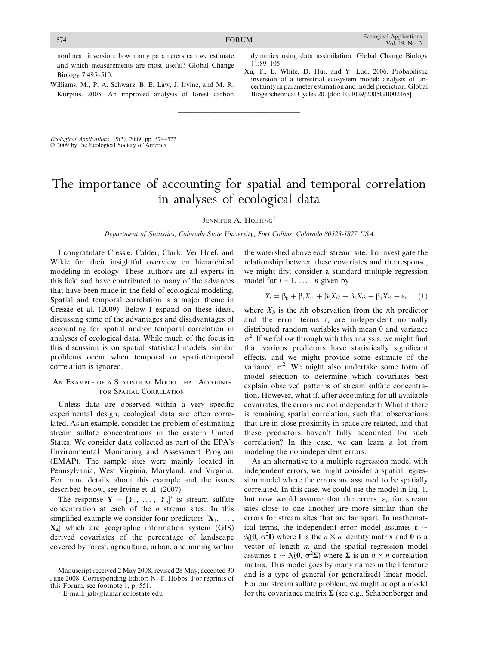\_\_\_\_\_\_\_\_\_\_\_\_\_\_\_\_\_\_\_\_\_\_\_\_\_\_\_\_\_\_\_\_

nonlinear inversion: how many parameters can we estimate and which measurements are most useful? Global Change Biology 7:495–510.

Williams, M., P. A. Schwarz, B. E. Law, J. Irvine, and M. R. Kurpius. 2005. An improved analysis of forest carbon dynamics using data assimilation. Global Change Biology 11:89–105.

Xu, T., L. White, D. Hui, and Y. Luo. 2006. Probabilistic inversion of a terrestrial ecosystem model: analysis of uncertainty in parameter estimation and model prediction. Global Biogeochemical Cycles 20. [doi: 10.1029/2005GB002468]

Ecological Applications, 19(3), 2009, pp. 574–577 © 2009 by the Ecological Society of America

# The importance of accounting for spatial and temporal correlation in analyses of ecological data

JENNIFER A. HOETING<sup>1</sup>

Department of Statistics, Colorado State University, Fort Collins, Colorado 80523-1877 USA

I congratulate Cressie, Calder, Clark, Ver Hoef, and Wikle for their insightful overview on hierarchical modeling in ecology. These authors are all experts in this field and have contributed to many of the advances that have been made in the field of ecological modeling. Spatial and temporal correlation is a major theme in Cressie et al. (2009). Below I expand on these ideas, discussing some of the advantages and disadvantages of accounting for spatial and/or temporal correlation in analyses of ecological data. While much of the focus in this discussion is on spatial statistical models, similar problems occur when temporal or spatiotemporal correlation is ignored.

## AN EXAMPLE OF A STATISTICAL MODEL THAT ACCOUNTS FOR SPATIAL CORRELATION

Unless data are observed within a very specific experimental design, ecological data are often correlated. As an example, consider the problem of estimating stream sulfate concentrations in the eastern United States. We consider data collected as part of the EPA's Environmental Monitoring and Assessment Program (EMAP). The sample sites were mainly located in Pennsylvania, West Virginia, Maryland, and Virginia. For more details about this example and the issues described below, see Irvine et al. (2007).

The response  $Y = [Y_1, \ldots, Y_n]'$  is stream sulfate concentration at each of the  $n$  stream sites. In this simplified example we consider four predictors  $[X_1, \ldots,$  $X_4$ ] which are geographic information system (GIS) derived covariates of the percentage of landscape covered by forest, agriculture, urban, and mining within

the watershed above each stream site. To investigate the relationship between these covariates and the response, we might first consider a standard multiple regression model for  $i = 1, \ldots, n$  given by

$$
Y_i = \beta_0 + \beta_1 X_{i1} + \beta_2 X_{i2} + \beta_3 X_{i3} + \beta_4 X_{i4} + \varepsilon_i \qquad (1)
$$

where  $X_{ij}$  is the *i*th observation from the *j*th predictor and the error terms  $\varepsilon_i$  are independent normally distributed random variables with mean 0 and variance  $\sigma^2$ . If we follow through with this analysis, we might find that various predictors have statistically significant effects, and we might provide some estimate of the variance,  $\sigma^2$ . We might also undertake some form of model selection to determine which covariates best explain observed patterns of stream sulfate concentration. However, what if, after accounting for all available covariates, the errors are not independent? What if there is remaining spatial correlation, such that observations that are in close proximity in space are related, and that these predictors haven't fully accounted for such correlation? In this case, we can learn a lot from modeling the nonindependent errors.

As an alternative to a multiple regression model with independent errors, we might consider a spatial regression model where the errors are assumed to be spatially correlated. In this case, we could use the model in Eq. 1, but now would assume that the errors,  $\varepsilon_i$ , for stream sites close to one another are more similar than the errors for stream sites that are far apart. In mathematical terms, the independent error model assumes  $\varepsilon \sim$  $\mathcal{N}(0, \sigma^2 I)$  where **I** is the  $n \times n$  identity matrix and **0** is a vector of length  $n$ , and the spatial regression model assumes  $\boldsymbol{\varepsilon} \sim \mathcal{N}(0, \sigma^2 \Sigma)$  where  $\Sigma$  is an  $n \times n$  correlation matrix. This model goes by many names in the literature and is a type of general (or generalized) linear model. For our stream sulfate problem, we might adopt a model for the covariance matrix  $\Sigma$  (see e.g., Schabenberger and

Manuscript received 2 May 2008; revised 28 May; accepted 30 June 2008. Corresponding Editor: N. T. Hobbs. For reprints of this Forum, see footnote 1, p. 551.

E-mail: jah@lamar.colostate.edu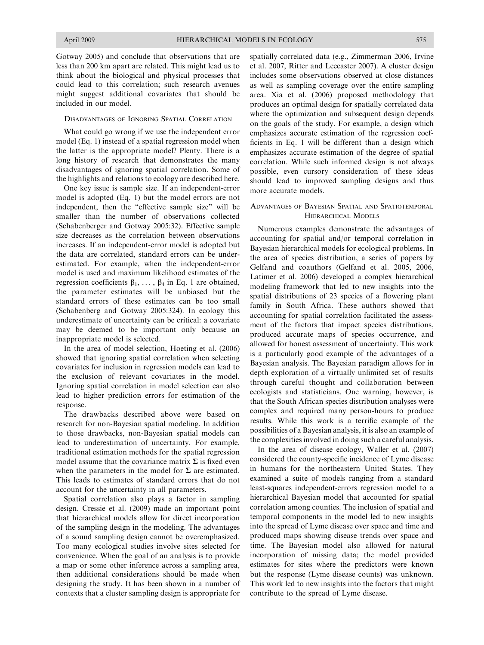Gotway 2005) and conclude that observations that are less than 200 km apart are related. This might lead us to think about the biological and physical processes that could lead to this correlation; such research avenues might suggest additional covariates that should be included in our model.

### DISADVANTAGES OF IGNORING SPATIAL CORRELATION

What could go wrong if we use the independent error model (Eq. 1) instead of a spatial regression model when the latter is the appropriate model? Plenty. There is a long history of research that demonstrates the many disadvantages of ignoring spatial correlation. Some of the highlights and relations to ecology are described here.

One key issue is sample size. If an independent-error model is adopted (Eq. 1) but the model errors are not independent, then the ''effective sample size'' will be smaller than the number of observations collected (Schabenberger and Gotway 2005:32). Effective sample size decreases as the correlation between observations increases. If an independent-error model is adopted but the data are correlated, standard errors can be underestimated. For example, when the independent-error model is used and maximum likelihood estimates of the regression coefficients  $\beta_1, \ldots, \beta_4$  in Eq. 1 are obtained, the parameter estimates will be unbiased but the standard errors of these estimates can be too small (Schabenberg and Gotway 2005:324). In ecology this underestimate of uncertainty can be critical: a covariate may be deemed to be important only because an inappropriate model is selected.

In the area of model selection, Hoeting et al. (2006) showed that ignoring spatial correlation when selecting covariates for inclusion in regression models can lead to the exclusion of relevant covariates in the model. Ignoring spatial correlation in model selection can also lead to higher prediction errors for estimation of the response.

The drawbacks described above were based on research for non-Bayesian spatial modeling. In addition to those drawbacks, non-Bayesian spatial models can lead to underestimation of uncertainty. For example, traditional estimation methods for the spatial regression model assume that the covariance matrix  $\Sigma$  is fixed even when the parameters in the model for  $\Sigma$  are estimated. This leads to estimates of standard errors that do not account for the uncertainty in all parameters.

Spatial correlation also plays a factor in sampling design. Cressie et al. (2009) made an important point that hierarchical models allow for direct incorporation of the sampling design in the modeling. The advantages of a sound sampling design cannot be overemphasized. Too many ecological studies involve sites selected for convenience. When the goal of an analysis is to provide a map or some other inference across a sampling area, then additional considerations should be made when designing the study. It has been shown in a number of contexts that a cluster sampling design is appropriate for spatially correlated data (e.g., Zimmerman 2006, Irvine et al. 2007, Ritter and Leecaster 2007). A cluster design includes some observations observed at close distances as well as sampling coverage over the entire sampling area. Xia et al. (2006) proposed methodology that produces an optimal design for spatially correlated data where the optimization and subsequent design depends on the goals of the study. For example, a design which emphasizes accurate estimation of the regression coefficients in Eq. 1 will be different than a design which emphasizes accurate estimation of the degree of spatial correlation. While such informed design is not always possible, even cursory consideration of these ideas should lead to improved sampling designs and thus more accurate models.

## ADVANTAGES OF BAYESIAN SPATIAL AND SPATIOTEMPORAL HIERARCHICAL MODELS

Numerous examples demonstrate the advantages of accounting for spatial and/or temporal correlation in Bayesian hierarchical models for ecological problems. In the area of species distribution, a series of papers by Gelfand and coauthors (Gelfand et al. 2005, 2006, Latimer et al. 2006) developed a complex hierarchical modeling framework that led to new insights into the spatial distributions of 23 species of a flowering plant family in South Africa. These authors showed that accounting for spatial correlation facilitated the assessment of the factors that impact species distributions, produced accurate maps of species occurrence, and allowed for honest assessment of uncertainty. This work is a particularly good example of the advantages of a Bayesian analysis. The Bayesian paradigm allows for in depth exploration of a virtually unlimited set of results through careful thought and collaboration between ecologists and statisticians. One warning, however, is that the South African species distribution analyses were complex and required many person-hours to produce results. While this work is a terrific example of the possibilities of a Bayesian analysis, it is also an example of the complexities involved in doing such a careful analysis.

In the area of disease ecology, Waller et al. (2007) considered the county-specific incidence of Lyme disease in humans for the northeastern United States. They examined a suite of models ranging from a standard least-squares independent-errors regression model to a hierarchical Bayesian model that accounted for spatial correlation among counties. The inclusion of spatial and temporal components in the model led to new insights into the spread of Lyme disease over space and time and produced maps showing disease trends over space and time. The Bayesian model also allowed for natural incorporation of missing data; the model provided estimates for sites where the predictors were known but the response (Lyme disease counts) was unknown. This work led to new insights into the factors that might contribute to the spread of Lyme disease.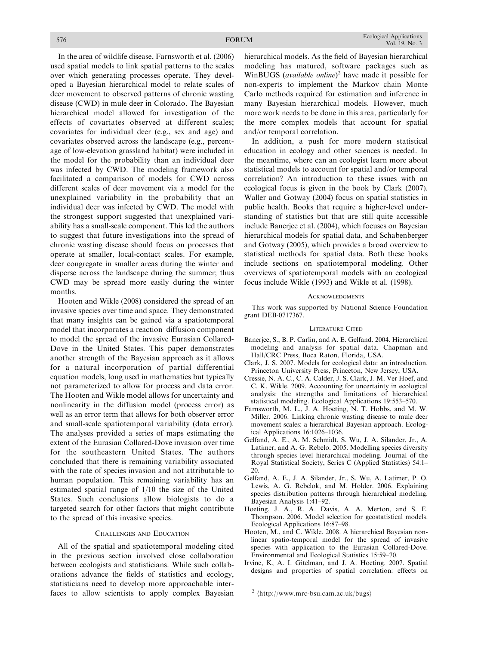In the area of wildlife disease, Farnsworth et al. (2006) used spatial models to link spatial patterns to the scales over which generating processes operate. They developed a Bayesian hierarchical model to relate scales of deer movement to observed patterns of chronic wasting disease (CWD) in mule deer in Colorado. The Bayesian hierarchical model allowed for investigation of the effects of covariates observed at different scales; covariates for individual deer (e.g., sex and age) and covariates observed across the landscape (e.g., percentage of low-elevation grassland habitat) were included in the model for the probability than an individual deer was infected by CWD. The modeling framework also facilitated a comparison of models for CWD across different scales of deer movement via a model for the unexplained variability in the probability that an individual deer was infected by CWD. The model with the strongest support suggested that unexplained variability has a small-scale component. This led the authors to suggest that future investigations into the spread of chronic wasting disease should focus on processes that operate at smaller, local-contact scales. For example, deer congregate in smaller areas during the winter and disperse across the landscape during the summer; thus CWD may be spread more easily during the winter months.

Hooten and Wikle (2008) considered the spread of an invasive species over time and space. They demonstrated that many insights can be gained via a spatiotemporal model that incorporates a reaction–diffusion component to model the spread of the invasive Eurasian Collared-Dove in the United States. This paper demonstrates another strength of the Bayesian approach as it allows for a natural incorporation of partial differential equation models, long used in mathematics but typically not parameterized to allow for process and data error. The Hooten and Wikle model allows for uncertainty and nonlinearity in the diffusion model (process error) as well as an error term that allows for both observer error and small-scale spatiotemporal variability (data error). The analyses provided a series of maps estimating the extent of the Eurasian Collared-Dove invasion over time for the southeastern United States. The authors concluded that there is remaining variability associated with the rate of species invasion and not attributable to human population. This remaining variability has an estimated spatial range of 1/10 the size of the United States. Such conclusions allow biologists to do a targeted search for other factors that might contribute to the spread of this invasive species.

### CHALLENGES AND EDUCATION

All of the spatial and spatiotemporal modeling cited in the previous section involved close collaboration between ecologists and statisticians. While such collaborations advance the fields of statistics and ecology, statisticians need to develop more approachable interfaces to allow scientists to apply complex Bayesian hierarchical models. As the field of Bayesian hierarchical modeling has matured, software packages such as WinBUGS (available online) <sup>2</sup> have made it possible for non-experts to implement the Markov chain Monte Carlo methods required for estimation and inference in many Bayesian hierarchical models. However, much more work needs to be done in this area, particularly for the more complex models that account for spatial and/or temporal correlation.

In addition, a push for more modern statistical education in ecology and other sciences is needed. In the meantime, where can an ecologist learn more about statistical models to account for spatial and/or temporal correlation? An introduction to these issues with an ecological focus is given in the book by Clark (2007). Waller and Gotway (2004) focus on spatial statistics in public health. Books that require a higher-level understanding of statistics but that are still quite accessible include Banerjee et al. (2004), which focuses on Bayesian hierarchical models for spatial data, and Schabenberger and Gotway (2005), which provides a broad overview to statistical methods for spatial data. Both these books include sections on spatiotemporal modeling. Other overviews of spatiotemporal models with an ecological focus include Wikle (1993) and Wikle et al. (1998).

### **ACKNOWLEDGMENTS**

This work was supported by National Science Foundation grant DEB-0717367.

- Baneriee, S., B. P. Carlin, and A. E. Gelfand. 2004. Hierarchical modeling and analysis for spatial data. Chapman and Hall/CRC Press, Boca Raton, Florida, USA.
- Clark, J. S. 2007. Models for ecological data: an introduction. Princeton University Press, Princeton, New Jersey, USA.
- Cressie, N. A. C., C. A. Calder, J. S. Clark, J. M. Ver Hoef, and C. K. Wikle. 2009. Accounting for uncertainty in ecological analysis: the strengths and limitations of hierarchical statistical modeling. Ecological Applications 19:553–570.
- Farnsworth, M. L., J. A. Hoeting, N. T. Hobbs, and M. W. Miller. 2006. Linking chronic wasting disease to mule deer movement scales: a hierarchical Bayesian approach. Ecological Applications 16:1026–1036.
- Gelfand, A. E., A. M. Schmidt, S. Wu, J. A. Silander, Jr., A. Latimer, and A. G. Rebelo. 2005. Modelling species diversity through species level hierarchical modeling. Journal of the Royal Statistical Society, Series C (Applied Statistics) 54:1– 20.
- Gelfand, A. E., J. A. Silander, Jr., S. Wu, A. Latimer, P. O. Lewis, A. G. Rebelok, and M. Holder. 2006. Explaining species distribution patterns through hierarchical modeling. Bayesian Analysis 1:41–92.
- Hoeting, J. A., R. A. Davis, A. A. Merton, and S. E. Thompson. 2006. Model selection for geostatistical models. Ecological Applications 16:87–98.
- Hooten, M., and C. Wikle. 2008. A hierarchical Bayesian nonlinear spatio-temporal model for the spread of invasive species with application to the Eurasian Collared-Dove. Environmental and Ecological Statistics 15:59–70.
- Irvine, K, A. I. Gitelman, and J. A. Hoeting. 2007. Spatial designs and properties of spatial correlation: effects on

 $2$  (http://www.mrc-bsu.cam.ac.uk/bugs)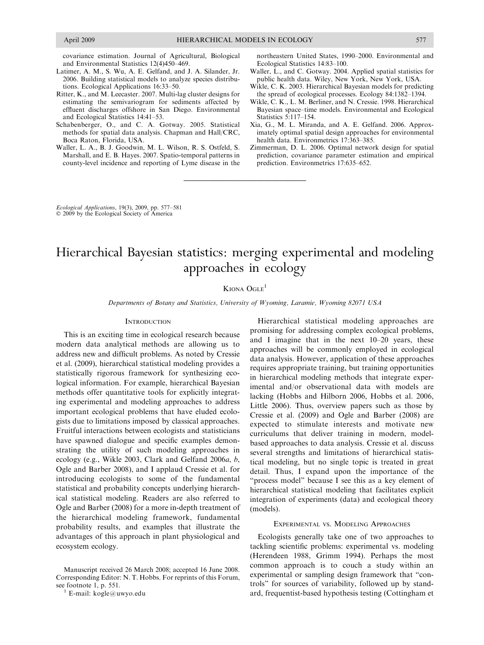covariance estimation. Journal of Agricultural, Biological and Environmental Statistics 12(4)450–469.

- Latimer, A. M., S. Wu, A. E. Gelfand, and J. A. Silander, Jr. 2006. Building statistical models to analyze species distributions. Ecological Applications 16:33–50.
- Ritter, K., and M. Leecaster. 2007. Multi-lag cluster designs for estimating the semivariogram for sediments affected by effluent discharges offshore in San Diego. Environmental and Ecological Statistics 14:41–53.
- Schabenberger, O., and C. A. Gotway. 2005. Statistical methods for spatial data analysis. Chapman and Hall/CRC, Boca Raton, Florida, USA.
- Waller, L. A., B. J. Goodwin, M. L. Wilson, R. S. Ostfeld, S. Marshall, and E. B. Hayes. 2007. Spatio-temporal patterns in county-level incidence and reporting of Lyme disease in the

northeastern United States, 1990–2000. Environmental and Ecological Statistics 14:83–100.

- Waller, L., and C. Gotway. 2004. Applied spatial statistics for public health data. Wiley, New York, New York, USA.
- Wikle, C. K. 2003. Hierarchical Bayesian models for predicting the spread of ecological processes. Ecology 84:1382–1394.
- Wikle, C. K., L. M. Berliner, and N. Cressie. 1998. Hierarchical Bayesian space–time models. Environmental and Ecological Statistics 5:117–154.
- Xia, G., M. L. Miranda, and A. E. Gelfand. 2006. Approximately optimal spatial design approaches for environmental health data. Environmetrics 17:363–385.
- Zimmerman, D. L. 2006. Optimal network design for spatial prediction, covariance parameter estimation and empirical prediction. Environmetrics 17:635–652.

Ecological Applications, 19(3), 2009, pp. 577–581  $\odot$  2009 by the Ecological Society of America

# Hierarchical Bayesian statistics: merging experimental and modeling approaches in ecology

\_\_\_\_\_\_\_\_\_\_\_\_\_\_\_\_\_\_\_\_\_\_\_\_\_\_\_\_\_\_\_\_

# KIONA OGLE<sup>1</sup>

Departments of Botany and Statistics, University of Wyoming, Laramie, Wyoming 82071 USA

### **INTRODUCTION**

This is an exciting time in ecological research because modern data analytical methods are allowing us to address new and difficult problems. As noted by Cressie et al. (2009), hierarchical statistical modeling provides a statistically rigorous framework for synthesizing ecological information. For example, hierarchical Bayesian methods offer quantitative tools for explicitly integrating experimental and modeling approaches to address important ecological problems that have eluded ecologists due to limitations imposed by classical approaches. Fruitful interactions between ecologists and statisticians have spawned dialogue and specific examples demonstrating the utility of such modeling approaches in ecology (e.g., Wikle 2003, Clark and Gelfand 2006 $a, b$ , Ogle and Barber 2008), and I applaud Cressie et al. for introducing ecologists to some of the fundamental statistical and probability concepts underlying hierarchical statistical modeling. Readers are also referred to Ogle and Barber (2008) for a more in-depth treatment of the hierarchical modeling framework, fundamental probability results, and examples that illustrate the advantages of this approach in plant physiological and ecosystem ecology.

Hierarchical statistical modeling approaches are promising for addressing complex ecological problems, and I imagine that in the next 10–20 years, these approaches will be commonly employed in ecological data analysis. However, application of these approaches requires appropriate training, but training opportunities in hierarchical modeling methods that integrate experimental and/or observational data with models are lacking (Hobbs and Hilborn 2006, Hobbs et al. 2006, Little 2006). Thus, overview papers such as those by Cressie et al. (2009) and Ogle and Barber (2008) are expected to stimulate interests and motivate new curriculums that deliver training in modern, modelbased approaches to data analysis. Cressie et al. discuss several strengths and limitations of hierarchical statistical modeling, but no single topic is treated in great detail. Thus, I expand upon the importance of the "process model" because I see this as a key element of hierarchical statistical modeling that facilitates explicit integration of experiments (data) and ecological theory (models).

### EXPERIMENTAL VS. MODELING APPROACHES

Ecologists generally take one of two approaches to tackling scientific problems: experimental vs. modeling (Herendeen 1988, Grimm 1994). Perhaps the most common approach is to couch a study within an experimental or sampling design framework that ''controls'' for sources of variability, followed up by standard, frequentist-based hypothesis testing (Cottingham et

Manuscript received 26 March 2008; accepted 16 June 2008. Corresponding Editor: N. T. Hobbs. For reprints of this Forum,

 $1$  E-mail: kogle@uwyo.edu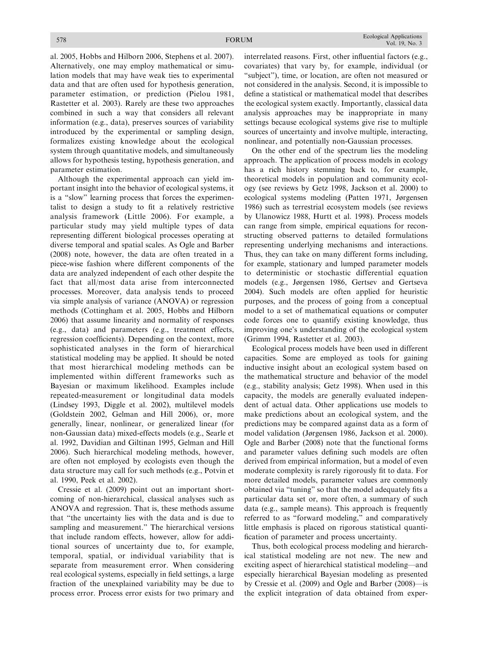al. 2005, Hobbs and Hilborn 2006, Stephens et al. 2007). Alternatively, one may employ mathematical or simulation models that may have weak ties to experimental data and that are often used for hypothesis generation, parameter estimation, or prediction (Pielou 1981, Rastetter et al. 2003). Rarely are these two approaches combined in such a way that considers all relevant information (e.g., data), preserves sources of variability introduced by the experimental or sampling design, formalizes existing knowledge about the ecological system through quantitative models, and simultaneously allows for hypothesis testing, hypothesis generation, and parameter estimation.

Although the experimental approach can yield important insight into the behavior of ecological systems, it is a ''slow'' learning process that forces the experimentalist to design a study to fit a relatively restrictive analysis framework (Little 2006). For example, a particular study may yield multiple types of data representing different biological processes operating at diverse temporal and spatial scales. As Ogle and Barber (2008) note, however, the data are often treated in a piece-wise fashion where different components of the data are analyzed independent of each other despite the fact that all/most data arise from interconnected processes. Moreover, data analysis tends to proceed via simple analysis of variance (ANOVA) or regression methods (Cottingham et al. 2005, Hobbs and Hilborn 2006) that assume linearity and normality of responses (e.g., data) and parameters (e.g., treatment effects, regression coefficients). Depending on the context, more sophisticated analyses in the form of hierarchical statistical modeling may be applied. It should be noted that most hierarchical modeling methods can be implemented within different frameworks such as Bayesian or maximum likelihood. Examples include repeated-measurement or longitudinal data models (Lindsey 1993, Diggle et al. 2002), multilevel models (Goldstein 2002, Gelman and Hill 2006), or, more generally, linear, nonlinear, or generalized linear (for non-Gaussian data) mixed-effects models (e.g., Searle et al. 1992, Davidian and Giltinan 1995, Gelman and Hill 2006). Such hierarchical modeling methods, however, are often not employed by ecologists even though the data structure may call for such methods (e.g., Potvin et al. 1990, Peek et al. 2002).

Cressie et al. (2009) point out an important shortcoming of non-hierarchical, classical analyses such as ANOVA and regression. That is, these methods assume that ''the uncertainty lies with the data and is due to sampling and measurement.'' The hierarchical versions that include random effects, however, allow for additional sources of uncertainty due to, for example, temporal, spatial, or individual variability that is separate from measurement error. When considering real ecological systems, especially in field settings, a large fraction of the unexplained variability may be due to process error. Process error exists for two primary and

interrelated reasons. First, other influential factors (e.g., covariates) that vary by, for example, individual (or "subject"), time, or location, are often not measured or not considered in the analysis. Second, it is impossible to define a statistical or mathematical model that describes the ecological system exactly. Importantly, classical data analysis approaches may be inappropriate in many settings because ecological systems give rise to multiple sources of uncertainty and involve multiple, interacting, nonlinear, and potentially non-Gaussian processes.

On the other end of the spectrum lies the modeling approach. The application of process models in ecology has a rich history stemming back to, for example, theoretical models in population and community ecology (see reviews by Getz 1998, Jackson et al. 2000) to ecological systems modeling (Patten 1971, Jørgensen 1986) such as terrestrial ecosystem models (see reviews by Ulanowicz 1988, Hurtt et al. 1998). Process models can range from simple, empirical equations for reconstructing observed patterns to detailed formulations representing underlying mechanisms and interactions. Thus, they can take on many different forms including, for example, stationary and lumped parameter models to deterministic or stochastic differential equation models (e.g., Jørgensen 1986, Gertsev and Gertseva 2004). Such models are often applied for heuristic purposes, and the process of going from a conceptual model to a set of mathematical equations or computer code forces one to quantify existing knowledge, thus improving one's understanding of the ecological system (Grimm 1994, Rastetter et al. 2003).

Ecological process models have been used in different capacities. Some are employed as tools for gaining inductive insight about an ecological system based on the mathematical structure and behavior of the model (e.g., stability analysis; Getz 1998). When used in this capacity, the models are generally evaluated independent of actual data. Other applications use models to make predictions about an ecological system, and the predictions may be compared against data as a form of model validation (Jørgensen 1986, Jackson et al. 2000). Ogle and Barber (2008) note that the functional forms and parameter values defining such models are often derived from empirical information, but a model of even moderate complexity is rarely rigorously fit to data. For more detailed models, parameter values are commonly obtained via ''tuning'' so that the model adequately fits a particular data set or, more often, a summary of such data (e.g., sample means). This approach is frequently referred to as ''forward modeling,'' and comparatively little emphasis is placed on rigorous statistical quantification of parameter and process uncertainty.

Thus, both ecological process modeling and hierarchical statistical modeling are not new. The new and exciting aspect of hierarchical statistical modeling—and especially hierarchical Bayesian modeling as presented by Cressie et al. (2009) and Ogle and Barber (2008)—is the explicit integration of data obtained from exper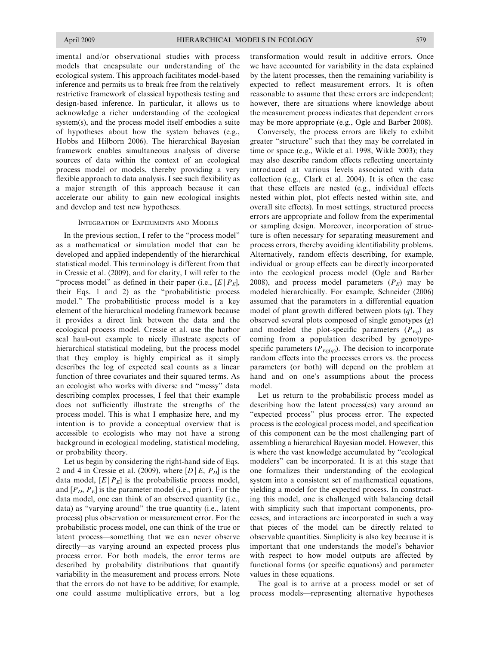imental and/or observational studies with process models that encapsulate our understanding of the ecological system. This approach facilitates model-based inference and permits us to break free from the relatively restrictive framework of classical hypothesis testing and design-based inference. In particular, it allows us to acknowledge a richer understanding of the ecological system(s), and the process model itself embodies a suite of hypotheses about how the system behaves (e.g., Hobbs and Hilborn 2006). The hierarchical Bayesian framework enables simultaneous analysis of diverse sources of data within the context of an ecological process model or models, thereby providing a very flexible approach to data analysis. I see such flexibility as a major strength of this approach because it can accelerate our ability to gain new ecological insights and develop and test new hypotheses.

### INTEGRATION OF EXPERIMENTS AND MODELS

In the previous section, I refer to the ''process model'' as a mathematical or simulation model that can be developed and applied independently of the hierarchical statistical model. This terminology is different from that in Cressie et al. (2009), and for clarity, I will refer to the "process model" as defined in their paper (i.e.,  $[E | P_E]$ , their Eqs. 1 and 2) as the ''probabilitistic process model.'' The probabilitistic process model is a key element of the hierarchical modeling framework because it provides a direct link between the data and the ecological process model. Cressie et al. use the harbor seal haul-out example to nicely illustrate aspects of hierarchical statistical modeling, but the process model that they employ is highly empirical as it simply describes the log of expected seal counts as a linear function of three covariates and their squared terms. As an ecologist who works with diverse and ''messy'' data describing complex processes, I feel that their example does not sufficiently illustrate the strengths of the process model. This is what I emphasize here, and my intention is to provide a conceptual overview that is accessible to ecologists who may not have a strong background in ecological modeling, statistical modeling, or probability theory.

Let us begin by considering the right-hand side of Eqs. 2 and 4 in Cressie et al. (2009), where  $[D|E, P_D]$  is the data model,  $[E | P_E]$  is the probabilistic process model, and  $[P_D, P_E]$  is the parameter model (i.e., prior). For the data model, one can think of an observed quantity (i.e., data) as ''varying around'' the true quantity (i.e., latent process) plus observation or measurement error. For the probabilistic process model, one can think of the true or latent process—something that we can never observe directly—as varying around an expected process plus process error. For both models, the error terms are described by probability distributions that quantify variability in the measurement and process errors. Note that the errors do not have to be additive; for example, one could assume multiplicative errors, but a log

transformation would result in additive errors. Once we have accounted for variability in the data explained by the latent processes, then the remaining variability is expected to reflect measurement errors. It is often reasonable to assume that these errors are independent; however, there are situations where knowledge about the measurement process indicates that dependent errors may be more appropriate (e.g., Ogle and Barber 2008).

Conversely, the process errors are likely to exhibit greater ''structure'' such that they may be correlated in time or space (e.g., Wikle et al. 1998, Wikle 2003); they may also describe random effects reflecting uncertainty introduced at various levels associated with data collection (e.g., Clark et al. 2004). It is often the case that these effects are nested (e.g., individual effects nested within plot, plot effects nested within site, and overall site effects). In most settings, structured process errors are appropriate and follow from the experimental or sampling design. Moreover, incorporation of structure is often necessary for separating measurement and process errors, thereby avoiding identifiability problems. Alternatively, random effects describing, for example, individual or group effects can be directly incorporated into the ecological process model (Ogle and Barber 2008), and process model parameters  $(P_E)$  may be modeled hierarchically. For example, Schneider (2006) assumed that the parameters in a differential equation model of plant growth differed between plots  $(q)$ . They observed several plots composed of single genotypes (g) and modeled the plot-specific parameters  $(P_{Eq})$  as coming from a population described by genotypespecific parameters ( $P_{Eq(q)}$ ). The decision to incorporate random effects into the processes errors vs. the process parameters (or both) will depend on the problem at hand and on one's assumptions about the process model.

Let us return to the probabilistic process model as describing how the latent process(es) vary around an ''expected process'' plus process error. The expected process is the ecological process model, and specification of this component can be the most challenging part of assembling a hierarchical Bayesian model. However, this is where the vast knowledge accumulated by ''ecological modelers'' can be incorporated. It is at this stage that one formalizes their understanding of the ecological system into a consistent set of mathematical equations, yielding a model for the expected process. In constructing this model, one is challenged with balancing detail with simplicity such that important components, processes, and interactions are incorporated in such a way that pieces of the model can be directly related to observable quantities. Simplicity is also key because it is important that one understands the model's behavior with respect to how model outputs are affected by functional forms (or specific equations) and parameter values in these equations.

The goal is to arrive at a process model or set of process models—representing alternative hypotheses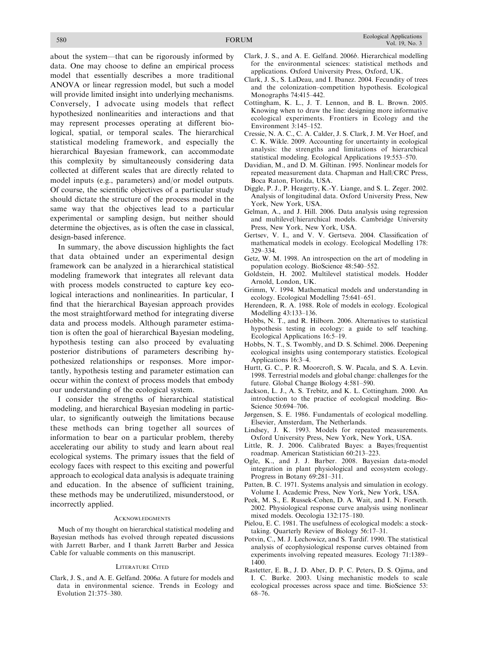about the system—that can be rigorously informed by data. One may choose to define an empirical process model that essentially describes a more traditional ANOVA or linear regression model, but such a model will provide limited insight into underlying mechanisms. Conversely, I advocate using models that reflect hypothesized nonlinearities and interactions and that may represent processes operating at different biological, spatial, or temporal scales. The hierarchical statistical modeling framework, and especially the hierarchical Bayesian framework, can accommodate this complexity by simultaneously considering data collected at different scales that are directly related to model inputs (e.g., parameters) and/or model outputs. Of course, the scientific objectives of a particular study should dictate the structure of the process model in the same way that the objectives lead to a particular experimental or sampling design, but neither should determine the objectives, as is often the case in classical, design-based inference.

In summary, the above discussion highlights the fact that data obtained under an experimental design framework can be analyzed in a hierarchical statistical modeling framework that integrates all relevant data with process models constructed to capture key ecological interactions and nonlinearities. In particular, I find that the hierarchical Bayesian approach provides the most straightforward method for integrating diverse data and process models. Although parameter estimation is often the goal of hierarchical Bayesian modeling, hypothesis testing can also proceed by evaluating posterior distributions of parameters describing hypothesized relationships or responses. More importantly, hypothesis testing and parameter estimation can occur within the context of process models that embody our understanding of the ecological system.

I consider the strengths of hierarchical statistical modeling, and hierarchical Bayesian modeling in particular, to significantly outweigh the limitations because these methods can bring together all sources of information to bear on a particular problem, thereby accelerating our ability to study and learn about real ecological systems. The primary issues that the field of ecology faces with respect to this exciting and powerful approach to ecological data analysis is adequate training and education. In the absence of sufficient training, these methods may be underutilized, misunderstood, or incorrectly applied.

### **ACKNOWLEDGMENTS**

Much of my thought on hierarchical statistical modeling and Bayesian methods has evolved through repeated discussions with Jarrett Barber, and I thank Jarrett Barber and Jessica Cable for valuable comments on this manuscript.

### LITERATURE CITED

Clark, J. S., and A. E. Gelfand. 2006a. A future for models and data in environmental science. Trends in Ecology and Evolution 21:375–380.

- Clark, J. S., and A. E. Gelfand. 2006b. Hierarchical modelling for the environmental sciences: statistical methods and applications. Oxford University Press, Oxford, UK.
- Clark, J. S., S. LaDeau, and I. Ibanez. 2004. Fecundity of trees and the colonization–competition hypothesis. Ecological Monographs 74:415–442.
- Cottingham, K. L., J. T. Lennon, and B. L. Brown. 2005. Knowing when to draw the line: designing more informative ecological experiments. Frontiers in Ecology and the Environment 3:145–152.
- Cressie, N. A. C., C. A. Calder, J. S. Clark, J. M. Ver Hoef, and C. K. Wikle. 2009. Accounting for uncertainty in ecological analysis: the strengths and limitations of hierarchical statistical modeling. Ecological Applications 19:553–570.
- Davidian, M., and D. M. Giltinan. 1995. Nonlinear models for repeated measurement data. Chapman and Hall/CRC Press, Boca Raton, Florida, USA.
- Diggle, P. J., P. Heagerty, K.-Y. Liange, and S. L. Zeger. 2002. Analysis of longitudinal data. Oxford University Press, New York, New York, USA.
- Gelman, A., and J. Hill. 2006. Data analysis using regression and multilevel/hierarchical models. Cambridge University Press, New York, New York, USA.
- Gertsev, V. I., and V. V. Gertseva. 2004. Classification of mathematical models in ecology. Ecological Modelling 178: 329–334.
- Getz, W. M. 1998. An introspection on the art of modeling in population ecology. BioScience 48:540–552.
- Goldstein, H. 2002. Multilevel statistical models. Hodder Arnold, London, UK.
- Grimm, V. 1994. Mathematical models and understanding in ecology. Ecological Modelling 75:641–651.
- Herendeen, R. A. 1988. Role of models in ecology. Ecological Modelling 43:133–136.
- Hobbs, N. T., and R. Hilborn. 2006. Alternatives to statistical hypothesis testing in ecology: a guide to self teaching. Ecological Applications 16:5–19.
- Hobbs, N. T., S. Twombly, and D. S. Schimel. 2006. Deepening ecological insights using contemporary statistics. Ecological Applications 16:3–4.
- Hurtt, G. C., P. R. Moorcroft, S. W. Pacala, and S. A. Levin. 1998. Terrestrial models and global change: challenges for the future. Global Change Biology 4:581–590.
- Jackson, L. J., A. S. Trebitz, and K. L. Cottingham. 2000. An introduction to the practice of ecological modeling. Bio-Science 50:694–706.
- Jørgensen, S. E. 1986. Fundamentals of ecological modelling. Elsevier, Amsterdam, The Netherlands.
- Lindsey, J. K. 1993. Models for repeated measurements. Oxford University Press, New York, New York, USA.
- Little, R. J. 2006. Calibrated Bayes: a Bayes/frequentist roadmap. American Statistician 60:213–223.
- Ogle, K., and J. J. Barber. 2008. Bayesian data-model integration in plant physiological and ecosystem ecology. Progress in Botany 69:281–311.
- Patten, B. C. 1971. Systems analysis and simulation in ecology. Volume I. Academic Press, New York, New York, USA.
- Peek, M. S., E. Russek-Cohen, D. A. Wait, and I. N. Forseth. 2002. Physiological response curve analysis using nonlinear mixed models. Oecologia 132:175–180.
- Pielou, E. C. 1981. The usefulness of ecological models: a stocktaking. Quarterly Review of Biology 56:17–31.
- Potvin, C., M. J. Lechowicz, and S. Tardif. 1990. The statistical analysis of ecophysiological response curves obtained from experiments involving repeated measures. Ecology 71:1389– 1400.
- Rastetter, E. B., J. D. Aber, D. P. C. Peters, D. S. Ojima, and I. C. Burke. 2003. Using mechanistic models to scale ecological processes across space and time. BioScience 53: 68–76.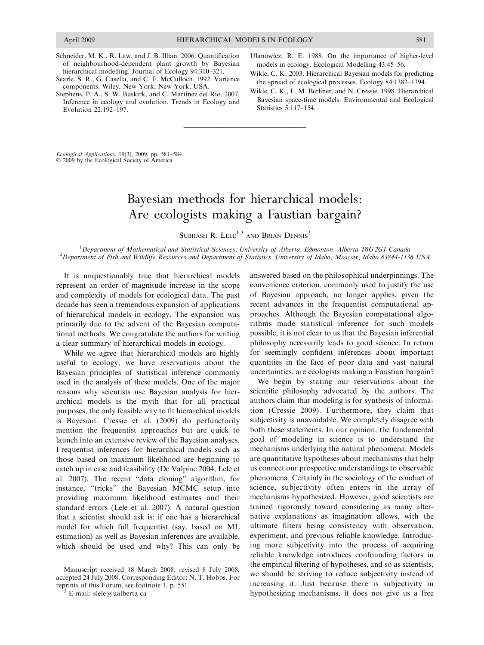- Schneider, M. K., R. Law, and J. B. Illian. 2006. Quantification of neighbourhood-dependent plant growth by Bayesian hierarchical modelling. Journal of Ecology 94:310-321.
- Searle, S. R., G. Casella, and C. E. McCulloch. 1992. Variance components. Wiley, New York, New York, USA.
- Stephens, P. A., S. W. Buskirk, and C. Martínez del Rio. 2007. Inference in ecology and evolution. Trends in Ecology and Evolution 22:192–197.
- Ulanowicz, R. E. 1988. On the importance of higher-level models in ecology. Ecological Modelling 43:45–56.
- Wikle, C. K. 2003. Hierarchical Bayesian models for predicting the spread of ecological processes. Ecology 84:1382–1394.
- Wikle, C. K., L. M. Berliner, and N. Cressie. 1998. Hierarchical Bayesian space-time models. Environmental and Ecological Statistics 5:117–154.

Ecological Applications, 19(3), 2009, pp. 581–584  $© 2009$  by the Ecological Society of America

# Bayesian methods for hierarchical models: Are ecologists making a Faustian bargain?

\_\_\_\_\_\_\_\_\_\_\_\_\_\_\_\_\_\_\_\_\_\_\_\_\_\_\_\_\_\_\_\_

SUBHASH R. LELE<sup>1,3</sup> AND BRIAN DENNIS<sup>2</sup>

<sup>1</sup>Department of Mathematical and Statistical Sciences, University of Alberta, Edmonton, Alberta T6G 2G1 Canada<br><sup>2</sup>Department of Fish and Wildlife Resources and Department of Statistics University of Ideho, Moscow, Ideho 8  $^{2}$ Department of Fish and Wildlife Resources and Department of Statistics, University of Idaho, Moscow, Idaho 83844-1136 USA

It is unquestionably true that hierarchical models represent an order of magnitude increase in the scope and complexity of models for ecological data. The past decade has seen a tremendous expansion of applications of hierarchical models in ecology. The expansion was primarily due to the advent of the Bayesian computational methods. We congratulate the authors for writing a clear summary of hierarchical models in ecology.

While we agree that hierarchical models are highly useful to ecology, we have reservations about the Bayesian principles of statistical inference commonly used in the analysis of these models. One of the major reasons why scientists use Bayesian analysis for hierarchical models is the myth that for all practical purposes, the only feasible way to fit hierarchical models is Bayesian. Cressie et al. (2009) do perfunctorily mention the frequentist approaches but are quick to launch into an extensive review of the Bayesian analyses. Frequentist inferences for hierarchical models such as those based on maximum likelihood are beginning to catch up in ease and feasibility (De Valpine 2004, Lele et al. 2007). The recent ''data cloning'' algorithm, for instance, "tricks" the Bayesian MCMC setup into providing maximum likelihood estimates and their standard errors (Lele et al. 2007). A natural question that a scientist should ask is: if one has a hierarchical model for which full frequentist (say, based on ML estimation) as well as Bayesian inferences are available, which should be used and why? This can only be answered based on the philosophical underpinnings. The convenience criterion, commonly used to justify the use of Bayesian approach, no longer applies, given the recent advances in the frequentist computational approaches. Although the Bayesian computational algorithms made statistical inference for such models possible, it is not clear to us that the Bayesian inferential philosophy necessarily leads to good science. In return for seemingly confident inferences about important quantities in the face of poor data and vast natural uncertainties, are ecologists making a Faustian bargain?

We begin by stating our reservations about the scientific philosophy advocated by the authors. The authors claim that modeling is for synthesis of information (Cressie 2009). Furthermore, they claim that subjectivity is unavoidable. We completely disagree with both these statements. In our opinion, the fundamental goal of modeling in science is to understand the mechanisms underlying the natural phenomena. Models are quantitative hypotheses about mechanisms that help us connect our prospective understandings to observable phenomena. Certainly in the sociology of the conduct of science, subjectivity often enters in the array of mechanisms hypothesized. However, good scientists are trained rigorously toward considering as many alternative explanations as imagination allows, with the ultimate filters being consistency with observation, experiment, and previous reliable knowledge. Introducing more subjectivity into the process of acquiring reliable knowledge introduces confounding factors in the empirical filtering of hypotheses, and so as scientists, we should be striving to reduce subjectivity instead of increasing it. Just because there is subjectivity in hypothesizing mechanisms, it does not give us a free

Manuscript received 18 March 2008; revised 8 July 2008; accepted 24 July 2008. Corresponding Editor: N. T. Hobbs. For reprints of this Forum, see footnote 1, p. 551.<br> $3 \text{ E-mail:} \text{ selel@ualberta.ca}$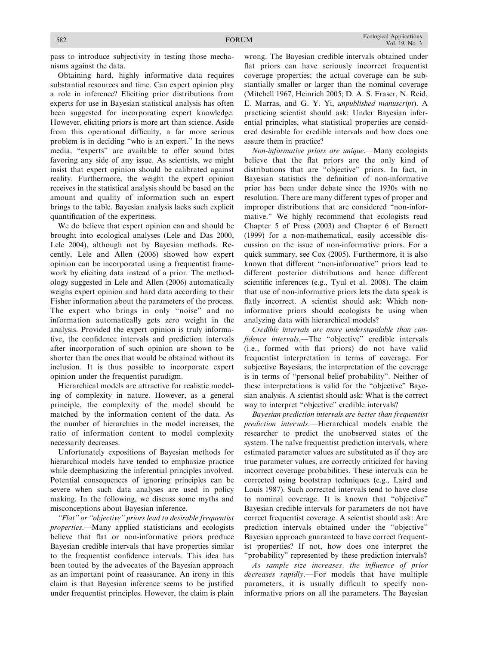pass to introduce subjectivity in testing those mechanisms against the data.

Obtaining hard, highly informative data requires substantial resources and time. Can expert opinion play a role in inference? Eliciting prior distributions from experts for use in Bayesian statistical analysis has often been suggested for incorporating expert knowledge. However, eliciting priors is more art than science. Aside from this operational difficulty, a far more serious problem is in deciding ''who is an expert.'' In the news media, ''experts'' are available to offer sound bites favoring any side of any issue. As scientists, we might insist that expert opinion should be calibrated against reality. Furthermore, the weight the expert opinion receives in the statistical analysis should be based on the amount and quality of information such an expert brings to the table. Bayesian analysis lacks such explicit quantification of the expertness.

We do believe that expert opinion can and should be brought into ecological analyses (Lele and Das 2000, Lele 2004), although not by Bayesian methods. Recently, Lele and Allen (2006) showed how expert opinion can be incorporated using a frequentist framework by eliciting data instead of a prior. The methodology suggested in Lele and Allen (2006) automatically weighs expert opinion and hard data according to their Fisher information about the parameters of the process. The expert who brings in only ''noise'' and no information automatically gets zero weight in the analysis. Provided the expert opinion is truly informative, the confidence intervals and prediction intervals after incorporation of such opinion are shown to be shorter than the ones that would be obtained without its inclusion. It is thus possible to incorporate expert opinion under the frequentist paradigm.

Hierarchical models are attractive for realistic modeling of complexity in nature. However, as a general principle, the complexity of the model should be matched by the information content of the data. As the number of hierarchies in the model increases, the ratio of information content to model complexity necessarily decreases.

Unfortunately expositions of Bayesian methods for hierarchical models have tended to emphasize practice while deemphasizing the inferential principles involved. Potential consequences of ignoring principles can be severe when such data analyses are used in policy making. In the following, we discuss some myths and misconceptions about Bayesian inference.

''Flat'' or ''objective'' priors lead to desirable frequentist properties.—Many applied statisticians and ecologists believe that flat or non-informative priors produce Bayesian credible intervals that have properties similar to the frequentist confidence intervals. This idea has been touted by the advocates of the Bayesian approach as an important point of reassurance. An irony in this claim is that Bayesian inference seems to be justified under frequentist principles. However, the claim is plain wrong. The Bayesian credible intervals obtained under flat priors can have seriously incorrect frequentist coverage properties; the actual coverage can be substantially smaller or larger than the nominal coverage (Mitchell 1967, Heinrich 2005; D. A. S. Fraser, N. Reid, E. Marras, and G. Y. Yi, unpublished manuscript). A practicing scientist should ask: Under Bayesian inferential principles, what statistical properties are considered desirable for credible intervals and how does one assure them in practice?

Non-informative priors are unique.—Many ecologists believe that the flat priors are the only kind of distributions that are ''objective'' priors. In fact, in Bayesian statistics the definition of non-informative prior has been under debate since the 1930s with no resolution. There are many different types of proper and improper distributions that are considered ''non-informative.'' We highly recommend that ecologists read Chapter 5 of Press (2003) and Chapter 6 of Barnett (1999) for a non-mathematical, easily accessible discussion on the issue of non-informative priors. For a quick summary, see Cox (2005). Furthermore, it is also known that different ''non-informative'' priors lead to different posterior distributions and hence different scientific inferences (e.g., Tyul et al. 2008). The claim that use of non-informative priors lets the data speak is flatly incorrect. A scientist should ask: Which noninformative priors should ecologists be using when analyzing data with hierarchical models?

Credible intervals are more understandable than confidence intervals.—The "objective" credible intervals (i.e., formed with flat priors) do not have valid frequentist interpretation in terms of coverage. For subjective Bayesians, the interpretation of the coverage is in terms of ''personal belief probability''. Neither of these interpretations is valid for the ''objective'' Bayesian analysis. A scientist should ask: What is the correct way to interpret "objective" credible intervals?

Bayesian prediction intervals are better than frequentist prediction intervals.—Hierarchical models enable the researcher to predict the unobserved states of the system. The naïve frequentist prediction intervals, where estimated parameter values are substituted as if they are true parameter values, are correctly criticized for having incorrect coverage probabilities. These intervals can be corrected using bootstrap techniques (e.g., Laird and Louis 1987). Such corrected intervals tend to have close to nominal coverage. It is known that ''objective'' Bayesian credible intervals for parameters do not have correct frequentist coverage. A scientist should ask: Are prediction intervals obtained under the ''objective'' Bayesian approach guaranteed to have correct frequentist properties? If not, how does one interpret the "probability" represented by these prediction intervals?

As sample size increases, the influence of prior decreases rapidly.—For models that have multiple parameters, it is usually difficult to specify noninformative priors on all the parameters. The Bayesian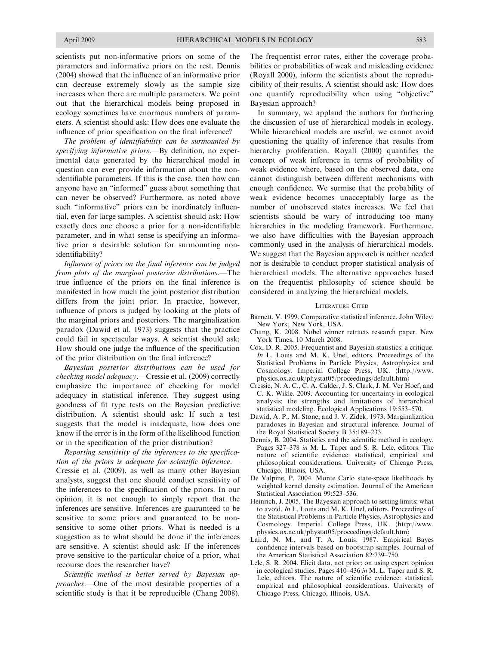scientists put non-informative priors on some of the parameters and informative priors on the rest. Dennis (2004) showed that the influence of an informative prior can decrease extremely slowly as the sample size increases when there are multiple parameters. We point out that the hierarchical models being proposed in ecology sometimes have enormous numbers of parameters. A scientist should ask: How does one evaluate the influence of prior specification on the final inference?

The problem of identifiability can be surmounted by specifying informative priors.—By definition, no experimental data generated by the hierarchical model in question can ever provide information about the nonidentifiable parameters. If this is the case, then how can anyone have an ''informed'' guess about something that can never be observed? Furthermore, as noted above such "informative" priors can be inordinately influential, even for large samples. A scientist should ask: How exactly does one choose a prior for a non-identifiable parameter, and in what sense is specifying an informative prior a desirable solution for surmounting nonidentifiability?

Influence of priors on the final inference can be judged from plots of the marginal posterior distributions.—The true influence of the priors on the final inference is manifested in how much the joint posterior distribution differs from the joint prior. In practice, however, influence of priors is judged by looking at the plots of the marginal priors and posteriors. The marginalization paradox (Dawid et al. 1973) suggests that the practice could fail in spectacular ways. A scientist should ask: How should one judge the influence of the specification of the prior distribution on the final inference?

Bayesian posterior distributions can be used for checking model adequacy.—Cressie et al. (2009) correctly emphasize the importance of checking for model adequacy in statistical inference. They suggest using goodness of fit type tests on the Bayesian predictive distribution. A scientist should ask: If such a test suggests that the model is inadequate, how does one know if the error is in the form of the likelihood function or in the specification of the prior distribution?

Reporting sensitivity of the inferences to the specification of the priors is adequate for scientific inference.— Cressie et al. (2009), as well as many other Bayesian analysts, suggest that one should conduct sensitivity of the inferences to the specification of the priors. In our opinion, it is not enough to simply report that the inferences are sensitive. Inferences are guaranteed to be sensitive to some priors and guaranteed to be nonsensitive to some other priors. What is needed is a suggestion as to what should be done if the inferences are sensitive. A scientist should ask: If the inferences prove sensitive to the particular choice of a prior, what recourse does the researcher have?

Scientific method is better served by Bayesian approaches.—One of the most desirable properties of a scientific study is that it be reproducible (Chang 2008). The frequentist error rates, either the coverage probabilities or probabilities of weak and misleading evidence (Royall 2000), inform the scientists about the reproducibility of their results. A scientist should ask: How does one quantify reproducibility when using ''objective'' Bayesian approach?

In summary, we applaud the authors for furthering the discussion of use of hierarchical models in ecology. While hierarchical models are useful, we cannot avoid questioning the quality of inference that results from hierarchy proliferation. Royall (2000) quantifies the concept of weak inference in terms of probability of weak evidence where, based on the observed data, one cannot distinguish between different mechanisms with enough confidence. We surmise that the probability of weak evidence becomes unacceptably large as the number of unobserved states increases. We feel that scientists should be wary of introducing too many hierarchies in the modeling framework. Furthermore, we also have difficulties with the Bayesian approach commonly used in the analysis of hierarchical models. We suggest that the Bayesian approach is neither needed nor is desirable to conduct proper statistical analysis of hierarchical models. The alternative approaches based on the frequentist philosophy of science should be considered in analyzing the hierarchical models.

- Barnett, V. 1999. Comparative statistical inference. John Wiley, New York, New York, USA.
- Chang, K. 2008. Nobel winner retracts research paper. New York Times, 10 March 2008.
- Cox, D. R. 2005. Frequentist and Bayesian statistics: a critique. In L. Louis and M. K. Unel, editors. Proceedings of the Statistical Problems in Particle Physics, Astrophysics and Cosmology. Imperial College Press, UK. (http://www. physics.ox.ac.uk/phystat05/proceedings/default.htmi
- Cressie, N. A. C., C. A. Calder, J. S. Clark, J. M. Ver Hoef, and C. K. Wikle. 2009. Accounting for uncertainty in ecological analysis: the strengths and limitations of hierarchical statistical modeling. Ecological Applications 19:553–570.
- Dawid, A. P., M. Stone, and J. V. Zidek. 1973. Marginalization paradoxes in Bayesian and structural inference. Journal of the Royal Statistical Society B 35:189–233.
- Dennis, B. 2004. Statistics and the scientific method in ecology. Pages 327–378 in M. L. Taper and S. R. Lele, editors. The nature of scientific evidence: statistical, empirical and philosophical considerations. University of Chicago Press, Chicago, Illinois, USA.
- De Valpine, P. 2004. Monte Carlo state-space likelihoods by weighted kernel density estimation. Journal of the American Statistical Association 99:523–536.
- Heinrich, J. 2005. The Bayesian approach to setting limits: what to avoid. In L. Louis and M. K. Unel, editors. Proceedings of the Statistical Problems in Particle Physics, Astrophysics and Cosmology. Imperial College Press, UK. (http://www. physics.ox.ac.uk/phystat05/proceedings/default.htmi
- Laird, N. M., and T. A. Louis. 1987. Empirical Bayes confidence intervals based on bootstrap samples. Journal of the American Statistical Association 82:739–750.
- Lele, S. R. 2004. Elicit data, not prior: on using expert opinion in ecological studies. Pages 410–436 in M. L. Taper and S. R. Lele, editors. The nature of scientific evidence: statistical, empirical and philosophical considerations. University of Chicago Press, Chicago, Illinois, USA.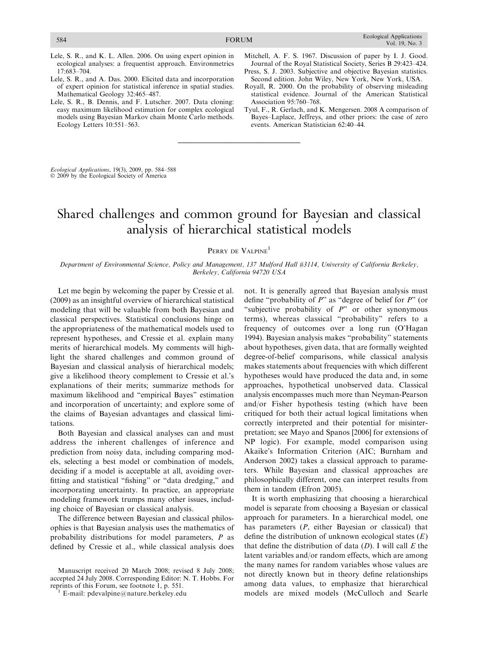- Lele, S. R., and K. L. Allen. 2006. On using expert opinion in ecological analyses: a frequentist approach. Environmetrics 17:683–704.
- Lele, S. R., and A. Das. 2000. Elicited data and incorporation of expert opinion for statistical inference in spatial studies. Mathematical Geology 32:465–487.
- Lele, S. R., B. Dennis, and F. Lutscher. 2007. Data cloning: easy maximum likelihood estimation for complex ecological models using Bayesian Markov chain Monte Carlo methods. Ecology Letters 10:551–563.
- Mitchell, A. F. S. 1967. Discussion of paper by I. J. Good. Journal of the Royal Statistical Society, Series B 29:423–424.
- Press, S. J. 2003. Subjective and objective Bayesian statistics. Second edition. John Wiley, New York, New York, USA.
- Royall, R. 2000. On the probability of observing misleading statistical evidence. Journal of the American Statistical Association 95:760–768.
- Tyul, F., R. Gerlach, and K. Mengersen. 2008 A comparison of Bayes–Laplace, Jeffreys, and other priors: the case of zero events. American Statistician 62:40–44.

Ecological Applications, 19(3), 2009, pp. 584–588  $\odot$  2009 by the Ecological Society of America

# Shared challenges and common ground for Bayesian and classical analysis of hierarchical statistical models

\_\_\_\_\_\_\_\_\_\_\_\_\_\_\_\_\_\_\_\_\_\_\_\_\_\_\_\_\_\_\_\_

## PERRY DE VALPINE<sup>1</sup>

Department of Environmental Science, Policy and Management, 137 Mulford Hall #3114, University of California Berkeley, Berkeley, California 94720 USA

Let me begin by welcoming the paper by Cressie et al. (2009) as an insightful overview of hierarchical statistical modeling that will be valuable from both Bayesian and classical perspectives. Statistical conclusions hinge on the appropriateness of the mathematical models used to represent hypotheses, and Cressie et al. explain many merits of hierarchical models. My comments will highlight the shared challenges and common ground of Bayesian and classical analysis of hierarchical models; give a likelihood theory complement to Cressie et al.'s explanations of their merits; summarize methods for maximum likelihood and ''empirical Bayes'' estimation and incorporation of uncertainty; and explore some of the claims of Bayesian advantages and classical limitations.

Both Bayesian and classical analyses can and must address the inherent challenges of inference and prediction from noisy data, including comparing models, selecting a best model or combination of models, deciding if a model is acceptable at all, avoiding overfitting and statistical ''fishing'' or ''data dredging,'' and incorporating uncertainty. In practice, an appropriate modeling framework trumps many other issues, including choice of Bayesian or classical analysis.

The difference between Bayesian and classical philosophies is that Bayesian analysis uses the mathematics of probability distributions for model parameters, P as defined by Cressie et al., while classical analysis does

not. It is generally agreed that Bayesian analysis must define ''probability of P'' as ''degree of belief for P'' (or "subjective probability of  $P$ " or other synonymous terms), whereas classical ''probability'' refers to a frequency of outcomes over a long run (O'Hagan 1994). Bayesian analysis makes ''probability'' statements about hypotheses, given data, that are formally weighted degree-of-belief comparisons, while classical analysis makes statements about frequencies with which different hypotheses would have produced the data and, in some approaches, hypothetical unobserved data. Classical analysis encompasses much more than Neyman-Pearson and/or Fisher hypothesis testing (which have been critiqued for both their actual logical limitations when correctly interpreted and their potential for misinterpretation; see Mayo and Spanos [2006] for extensions of NP logic). For example, model comparison using Akaike's Information Criterion (AIC; Burnham and Anderson 2002) takes a classical approach to parameters. While Bayesian and classical approaches are philosophically different, one can interpret results from them in tandem (Efron 2005).

It is worth emphasizing that choosing a hierarchical model is separate from choosing a Bayesian or classical approach for parameters. In a hierarchical model, one has parameters (P, either Bayesian or classical) that define the distribution of unknown ecological states  $(E)$ that define the distribution of data  $(D)$ . I will call  $E$  the latent variables and/or random effects, which are among the many names for random variables whose values are not directly known but in theory define relationships among data values, to emphasize that hierarchical models are mixed models (McCulloch and Searle

Manuscript received 20 March 2008; revised 8 July 2008; accepted 24 July 2008. Corresponding Editor: N. T. Hobbs. For reprints of this Forum, see footnote 1, p. 551.<br><sup>1</sup> E-mail: pdevalpine@nature.berkeley.edu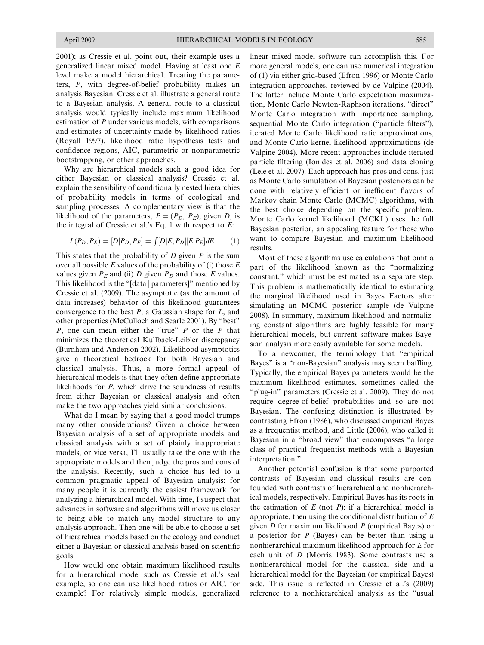2001); as Cressie et al. point out, their example uses a generalized linear mixed model. Having at least one E level make a model hierarchical. Treating the parameters, P, with degree-of-belief probability makes an analysis Bayesian. Cressie et al. illustrate a general route to a Bayesian analysis. A general route to a classical analysis would typically include maximum likelihood estimation of P under various models, with comparisons and estimates of uncertainty made by likelihood ratios (Royall 1997), likelihood ratio hypothesis tests and confidence regions, AIC, parametric or nonparametric bootstrapping, or other approaches.

Why are hierarchical models such a good idea for either Bayesian or classical analysis? Cressie et al. explain the sensibility of conditionally nested hierarchies of probability models in terms of ecological and sampling processes. A complementary view is that the likelihood of the parameters,  $P = (P_D, P_E)$ , given D, is the integral of Cressie et al.'s Eq. 1 with respect to  $E$ :

$$
L(P_D, P_E) = [D|P_D, P_E] = \int [D|E, P_D][E|P_E]dE.
$$
 (1)

This states that the probability of  $D$  given  $P$  is the sum over all possible  $E$  values of the probability of (i) those  $E$ values given  $P_E$  and (ii) D given  $P_D$  and those E values. This likelihood is the "[data | parameters]" mentioned by Cressie et al. (2009). The asymptotic (as the amount of data increases) behavior of this likelihood guarantees convergence to the best  $P$ , a Gaussian shape for  $L$ , and other properties (McCulloch and Searle 2001). By ''best''  $P$ , one can mean either the "true"  $P$  or the  $P$  that minimizes the theoretical Kullback-Leibler discrepancy (Burnham and Anderson 2002). Likelihood asymptotics give a theoretical bedrock for both Bayesian and classical analysis. Thus, a more formal appeal of hierarchical models is that they often define appropriate likelihoods for P, which drive the soundness of results from either Bayesian or classical analysis and often make the two approaches yield similar conclusions.

What do I mean by saying that a good model trumps many other considerations? Given a choice between Bayesian analysis of a set of appropriate models and classical analysis with a set of plainly inappropriate models, or vice versa, I'll usually take the one with the appropriate models and then judge the pros and cons of the analysis. Recently, such a choice has led to a common pragmatic appeal of Bayesian analysis: for many people it is currently the easiest framework for analyzing a hierarchical model. With time, I suspect that advances in software and algorithms will move us closer to being able to match any model structure to any analysis approach. Then one will be able to choose a set of hierarchical models based on the ecology and conduct either a Bayesian or classical analysis based on scientific goals.

How would one obtain maximum likelihood results for a hierarchical model such as Cressie et al.'s seal example, so one can use likelihood ratios or AIC, for example? For relatively simple models, generalized linear mixed model software can accomplish this. For more general models, one can use numerical integration of (1) via either grid-based (Efron 1996) or Monte Carlo integration approaches, reviewed by de Valpine (2004). The latter include Monte Carlo expectation maximization, Monte Carlo Newton-Raphson iterations, ''direct'' Monte Carlo integration with importance sampling, sequential Monte Carlo integration ("particle filters"), iterated Monte Carlo likelihood ratio approximations, and Monte Carlo kernel likelihood approximations (de Valpine 2004). More recent approaches include iterated particle filtering (Ionides et al. 2006) and data cloning (Lele et al. 2007). Each approach has pros and cons, just as Monte Carlo simulation of Bayesian posteriors can be done with relatively efficient or inefficient flavors of Markov chain Monte Carlo (MCMC) algorithms, with the best choice depending on the specific problem. Monte Carlo kernel likelihood (MCKL) uses the full Bayesian posterior, an appealing feature for those who want to compare Bayesian and maximum likelihood results.

Most of these algorithms use calculations that omit a part of the likelihood known as the ''normalizing constant,'' which must be estimated as a separate step. This problem is mathematically identical to estimating the marginal likelihood used in Bayes Factors after simulating an MCMC posterior sample (de Valpine 2008). In summary, maximum likelihood and normalizing constant algorithms are highly feasible for many hierarchical models, but current software makes Bayesian analysis more easily available for some models.

To a newcomer, the terminology that ''empirical Bayes" is a "non-Bayesian" analysis may seem baffling. Typically, the empirical Bayes parameters would be the maximum likelihood estimates, sometimes called the "plug-in" parameters (Cressie et al. 2009). They do not require degree-of-belief probabilities and so are not Bayesian. The confusing distinction is illustrated by contrasting Efron (1986), who discussed empirical Bayes as a frequentist method, and Little (2006), who called it Bayesian in a ''broad view'' that encompasses ''a large class of practical frequentist methods with a Bayesian interpretation.''

Another potential confusion is that some purported contrasts of Bayesian and classical results are confounded with contrasts of hierarchical and nonhierarchical models, respectively. Empirical Bayes has its roots in the estimation of  $E$  (not  $P$ ): if a hierarchical model is appropriate, then using the conditional distribution of  $E$ given D for maximum likelihood P (empirical Bayes) or a posterior for  $P$  (Bayes) can be better than using a nonhierarchical maximum likelihood approach for E for each unit of D (Morris 1983). Some contrasts use a nonhierarchical model for the classical side and a hierarchical model for the Bayesian (or empirical Bayes) side. This issue is reflected in Cressie et al.'s (2009) reference to a nonhierarchical analysis as the ''usual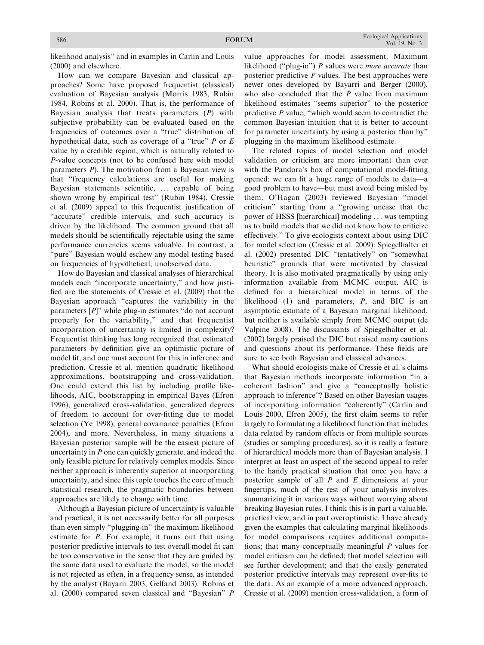likelihood analysis'' and in examples in Carlin and Louis (2000) and elsewhere.

How can we compare Bayesian and classical approaches? Some have proposed frequentist (classical) evaluation of Bayesian analysis (Morris 1983, Rubin 1984, Robins et al. 2000). That is, the performance of Bayesian analysis that treats parameters  $(P)$  with subjective probability can be evaluated based on the frequencies of outcomes over a ''true'' distribution of hypothetical data, such as coverage of a "true"  $P$  or  $E$ value by a credible region, which is naturally related to P-value concepts (not to be confused here with model parameters  $P$ ). The motivation from a Bayesian view is that ''frequency calculations are useful for making Bayesian statements scientific, ... capable of being shown wrong by empirical test'' (Rubin 1984). Cressie et al. (2009) appeal to this frequentist justification of "accurate" credible intervals, and such accuracy is driven by the likelihood. The common ground that all models should be scientifically rejectable using the same performance currencies seems valuable. In contrast, a "pure" Bayesian would eschew any model testing based on frequencies of hypothetical, unobserved data.

How do Bayesian and classical analyses of hierarchical models each ''incorporate uncertainty,'' and how justified are the statements of Cressie et al. (2009) that the Bayesian approach ''captures the variability in the parameters  $[P]$ " while plug-in estimates "do not account properly for the variability,'' and that frequentist incorporation of uncertainty is limited in complexity? Frequentist thinking has long recognized that estimated parameters by definition give an optimistic picture of model fit, and one must account for this in inference and prediction. Cressie et al. mention quadratic likelihood approximations, bootstrapping and cross-validation. One could extend this list by including profile likelihoods, AIC, bootstrapping in empirical Bayes (Efron 1996), generalized cross-validation, generalized degrees of freedom to account for over-fitting due to model selection (Ye 1998), general covariance penalties (Efron 2004), and more. Nevertheless, in many situations a Bayesian posterior sample will be the easiest picture of uncertainty in P one can quickly generate, and indeed the only feasible picture for relatively complex models. Since neither approach is inherently superior at incorporating uncertainty, and since this topic touches the core of much statistical research, the pragmatic boundaries between approaches are likely to change with time.

Although a Bayesian picture of uncertainty is valuable and practical, it is not necessarily better for all purposes than even simply ''plugging-in'' the maximum likelihood estimate for P. For example, it turns out that using posterior predictive intervals to test overall model fit can be too conservative in the sense that they are guided by the same data used to evaluate the model, so the model is not rejected as often, in a frequency sense, as intended by the analyst (Bayarri 2003, Gelfand 2003). Robins et al. (2000) compared seven classical and ''Bayesian'' P value approaches for model assessment. Maximum likelihood ("plug-in") P values were *more accurate* than posterior predictive  $P$  values. The best approaches were newer ones developed by Bayarri and Berger (2000), who also concluded that the  $P$  value from maximum likelihood estimates ''seems superior'' to the posterior predictive  $P$  value, "which would seem to contradict the common Bayesian intuition that it is better to account for parameter uncertainty by using a posterior than by'' plugging in the maximum likelihood estimate.

The related topics of model selection and model validation or criticism are more important than ever with the Pandora's box of computational model-fitting opened: we can fit a huge range of models to data—a good problem to have—but must avoid being misled by them. O'Hagan (2003) reviewed Bayesian ''model criticism'' starting from a ''growing unease that the power of HSSS [hierarchical] modeling ... was tempting us to build models that we did not know how to criticize effectively.'' To give ecologists context about using DIC for model selection (Cressie et al. 2009): Spiegelhalter et al. (2002) presented DIC ''tentatively'' on ''somewhat heuristic'' grounds that were motivated by classical theory. It is also motivated pragmatically by using only information available from MCMC output. AIC is defined for a hierarchical model in terms of the likelihood (1) and parameters, P, and BIC is an asymptotic estimate of a Bayesian marginal likelihood, but neither is available simply from MCMC output (de Valpine 2008). The discussants of Spiegelhalter et al. (2002) largely praised the DIC but raised many cautions and questions about its performance. These fields are sure to see both Bayesian and classical advances.

What should ecologists make of Cressie et al.'s claims that Bayesian methods incorporate information ''in a coherent fashion'' and give a ''conceptually holistic approach to inference''? Based on other Bayesian usages of incorporating information ''coherently'' (Carlin and Louis 2000, Efron 2005), the first claim seems to refer largely to formulating a likelihood function that includes data related by random effects or from multiple sources (studies or sampling procedures), so it is really a feature of hierarchical models more than of Bayesian analysis. I interpret at least an aspect of the second appeal to refer to the handy practical situation that once you have a posterior sample of all  $P$  and  $E$  dimensions at your fingertips, much of the rest of your analysis involves summarizing it in various ways without worrying about breaking Bayesian rules. I think this is in part a valuable, practical view, and in part overoptimistic. I have already given the examples that calculating marginal likelihoods for model comparisons requires additional computations; that many conceptually meaningful P values for model criticism can be defined; that model selection will see further development; and that the easily generated posterior predictive intervals may represent over-fits to the data. As an example of a more advanced approach, Cressie et al. (2009) mention cross-validation, a form of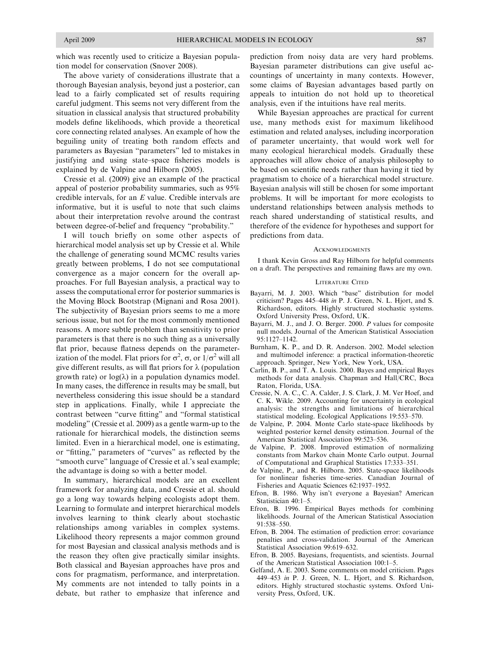which was recently used to criticize a Bayesian population model for conservation (Snover 2008).

The above variety of considerations illustrate that a thorough Bayesian analysis, beyond just a posterior, can lead to a fairly complicated set of results requiring careful judgment. This seems not very different from the situation in classical analysis that structured probability models define likelihoods, which provide a theoretical core connecting related analyses. An example of how the beguiling unity of treating both random effects and parameters as Bayesian ''parameters'' led to mistakes in justifying and using state–space fisheries models is explained by de Valpine and Hilborn (2005).

Cressie et al. (2009) give an example of the practical appeal of posterior probability summaries, such as 95% credible intervals, for an E value. Credible intervals are informative, but it is useful to note that such claims about their interpretation revolve around the contrast between degree-of-belief and frequency ''probability.''

I will touch briefly on some other aspects of hierarchical model analysis set up by Cressie et al. While the challenge of generating sound MCMC results varies greatly between problems, I do not see computational convergence as a major concern for the overall approaches. For full Bayesian analysis, a practical way to assess the computational error for posterior summaries is the Moving Block Bootstrap (Mignani and Rosa 2001). The subjectivity of Bayesian priors seems to me a more serious issue, but not for the most commonly mentioned reasons. A more subtle problem than sensitivity to prior parameters is that there is no such thing as a universally flat prior, because flatness depends on the parameterization of the model. Flat priors for  $\sigma^2$ ,  $\sigma$ , or  $1/\sigma^2$  will all give different results, as will flat priors for  $\lambda$  (population growth rate) or  $log(\lambda)$  in a population dynamics model. In many cases, the difference in results may be small, but nevertheless considering this issue should be a standard step in applications. Finally, while I appreciate the contrast between ''curve fitting'' and ''formal statistical modeling'' (Cressie et al. 2009) as a gentle warm-up to the rationale for hierarchical models, the distinction seems limited. Even in a hierarchical model, one is estimating, or ''fitting,'' parameters of ''curves'' as reflected by the "smooth curve" language of Cressie et al.'s seal example; the advantage is doing so with a better model.

In summary, hierarchical models are an excellent framework for analyzing data, and Cressie et al. should go a long way towards helping ecologists adopt them. Learning to formulate and interpret hierarchical models involves learning to think clearly about stochastic relationships among variables in complex systems. Likelihood theory represents a major common ground for most Bayesian and classical analysis methods and is the reason they often give practically similar insights. Both classical and Bayesian approaches have pros and cons for pragmatism, performance, and interpretation. My comments are not intended to tally points in a debate, but rather to emphasize that inference and prediction from noisy data are very hard problems. Bayesian parameter distributions can give useful accountings of uncertainty in many contexts. However, some claims of Bayesian advantages based partly on appeals to intuition do not hold up to theoretical analysis, even if the intuitions have real merits.

While Bayesian approaches are practical for current use, many methods exist for maximum likelihood estimation and related analyses, including incorporation of parameter uncertainty, that would work well for many ecological hierarchical models. Gradually these approaches will allow choice of analysis philosophy to be based on scientific needs rather than having it tied by pragmatism to choice of a hierarchical model structure. Bayesian analysis will still be chosen for some important problems. It will be important for more ecologists to understand relationships between analysis methods to reach shared understanding of statistical results, and therefore of the evidence for hypotheses and support for predictions from data.

### **ACKNOWLEDGMENTS**

I thank Kevin Gross and Ray Hilborn for helpful comments on a draft. The perspectives and remaining flaws are my own.

- Bayarri, M. J. 2003. Which ''base'' distribution for model criticism? Pages 445–448 in P. J. Green, N. L. Hjort, and S. Richardson, editors. Highly structured stochastic systems. Oxford University Press, Oxford, UK.
- Bayarri, M. J., and J. O. Berger. 2000. P values for composite null models. Journal of the American Statistical Association 95:1127–1142.
- Burnham, K. P., and D. R. Anderson. 2002. Model selection and multimodel inference: a practical information-theoretic approach. Springer, New York, New York, USA.
- Carlin, B. P., and T. A. Louis. 2000. Bayes and empirical Bayes methods for data analysis. Chapman and Hall/CRC, Boca Raton, Florida, USA.
- Cressie, N. A. C., C. A. Calder, J. S. Clark, J. M. Ver Hoef, and C. K. Wikle. 2009. Accounting for uncertainty in ecological analysis: the strengths and limitations of hierarchical statistical modeling. Ecological Applications 19:553–570.
- de Valpine, P. 2004. Monte Carlo state-space likelihoods by weighted posterior kernel density estimation. Journal of the American Statistical Association 99:523–536.
- de Valpine, P. 2008. Improved estimation of normalizing constants from Markov chain Monte Carlo output. Journal of Computational and Graphical Statistics 17:333–351.
- de Valpine, P., and R. Hilborn. 2005. State-space likelihoods for nonlinear fisheries time-series. Canadian Journal of Fisheries and Aquatic Sciences 62:1937–1952.
- Efron, B. 1986. Why isn't everyone a Bayesian? American Statistician 40:1–5.
- Efron, B. 1996. Empirical Bayes methods for combining likelihoods. Journal of the American Statistical Association 91:538–550.
- Efron, B. 2004. The estimation of prediction error: covariance penalties and cross-validation. Journal of the American Statistical Association 99:619–632.
- Efron, B. 2005. Bayesians, frequentists, and scientists. Journal of the American Statistical Association 100:1–5.
- Gelfand, A. E. 2003. Some comments on model criticism. Pages 449–453 in P. J. Green, N. L. Hjort, and S. Richardson, editors. Highly structured stochastic systems. Oxford University Press, Oxford, UK.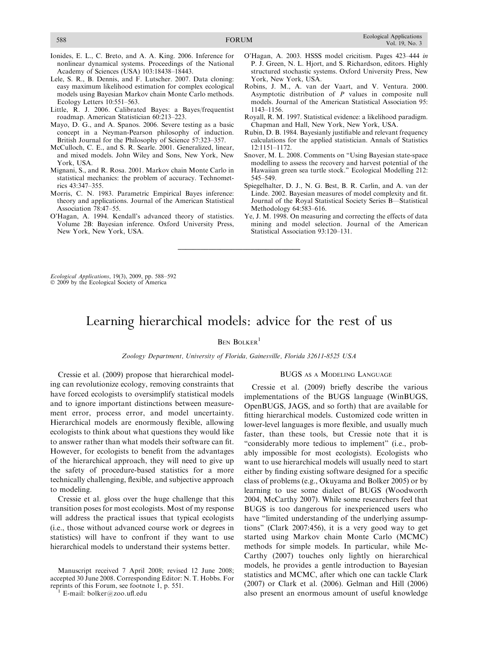- Ionides, E. L., C. Breto, and A. A. King. 2006. Inference for nonlinear dynamical systems. Proceedings of the National Academy of Sciences (USA) 103:18438–18443.
- Lele, S. R., B. Dennis, and F. Lutscher. 2007. Data cloning: easy maximum likelihood estimation for complex ecological models using Bayesian Markov chain Monte Carlo methods. Ecology Letters 10:551–563.
- Little, R. J. 2006. Calibrated Bayes: a Bayes/frequentist roadmap. American Statistician 60:213–223.
- Mayo, D. G., and A. Spanos. 2006. Severe testing as a basic concept in a Neyman-Pearson philosophy of induction. British Journal for the Philosophy of Science 57:323–357.
- McCulloch, C. E., and S. R. Searle. 2001. Generalized, linear, and mixed models. John Wiley and Sons, New York, New York, USA.
- Mignani, S., and R. Rosa. 2001. Markov chain Monte Carlo in statistical mechanics: the problem of accuracy. Technometrics 43:347–355.
- Morris, C. N. 1983. Parametric Empirical Bayes inference: theory and applications. Journal of the American Statistical Association 78:47–55.
- O'Hagan, A. 1994. Kendall's advanced theory of statistics. Volume 2B: Bayesian inference. Oxford University Press, New York, New York, USA.
- O'Hagan, A. 2003. HSSS model cricitism. Pages 423–444 in P. J. Green, N. L. Hjort, and S. Richardson, editors. Highly structured stochastic systems. Oxford University Press, New York, New York, USA.
- Robins, J. M., A. van der Vaart, and V. Ventura. 2000. Asymptotic distribution of P values in composite null models. Journal of the American Statistical Association 95: 1143–1156.
- Royall, R. M. 1997. Statistical evidence: a likelihood paradigm. Chapman and Hall, New York, New York, USA.
- Rubin, D. B. 1984. Bayesianly justifiable and relevant frequency calculations for the applied statistician. Annals of Statistics 12:1151–1172.
- Snover, M. L. 2008. Comments on ''Using Bayesian state-space modelling to assess the recovery and harvest potential of the Hawaiian green sea turtle stock.'' Ecological Modelling 212: 545–549.
- Spiegelhalter, D. J., N. G. Best, B. R. Carlin, and A. van der Linde. 2002. Bayesian measures of model complexity and fit. Journal of the Royal Statistical Society Series B—Statistical Methodology 64:583–616.
- Ye, J. M. 1998. On measuring and correcting the effects of data mining and model selection. Journal of the American Statistical Association 93:120–131.

Ecological Applications, 19(3), 2009, pp. 588–592  $\odot$  2009 by the Ecological Society of America

# Learning hierarchical models: advice for the rest of us

\_\_\_\_\_\_\_\_\_\_\_\_\_\_\_\_\_\_\_\_\_\_\_\_\_\_\_\_\_\_\_\_

## BEN BOLKER<sup>1</sup>

Zoology Department, University of Florida, Gainesville, Florida 32611-8525 USA

Cressie et al. (2009) propose that hierarchical modeling can revolutionize ecology, removing constraints that have forced ecologists to oversimplify statistical models and to ignore important distinctions between measurement error, process error, and model uncertainty. Hierarchical models are enormously flexible, allowing ecologists to think about what questions they would like to answer rather than what models their software can fit. However, for ecologists to benefit from the advantages of the hierarchical approach, they will need to give up the safety of procedure-based statistics for a more technically challenging, flexible, and subjective approach to modeling.

Cressie et al. gloss over the huge challenge that this transition poses for most ecologists. Most of my response will address the practical issues that typical ecologists (i.e., those without advanced course work or degrees in statistics) will have to confront if they want to use hierarchical models to understand their systems better.

Manuscript received 7 April 2008; revised 12 June 2008; accepted 30 June 2008. Corresponding Editor: N. T. Hobbs. For reprints of this Forum, see footnote 1, p. 551.<br> $\frac{1}{1}$  E-mail: bolker@zoo.ufl.edu

## BUGS AS A MODELING LANGUAGE

Cressie et al. (2009) briefly describe the various implementations of the BUGS language (WinBUGS, OpenBUGS, JAGS, and so forth) that are available for fitting hierarchical models. Customized code written in lower-level languages is more flexible, and usually much faster, than these tools, but Cressie note that it is "considerably more tedious to implement" (i.e., probably impossible for most ecologists). Ecologists who want to use hierarchical models will usually need to start either by finding existing software designed for a specific class of problems (e.g., Okuyama and Bolker 2005) or by learning to use some dialect of BUGS (Woodworth 2004, McCarthy 2007). While some researchers feel that BUGS is too dangerous for inexperienced users who have "limited understanding of the underlying assumptions'' (Clark 2007:456), it is a very good way to get started using Markov chain Monte Carlo (MCMC) methods for simple models. In particular, while Mc-Carthy (2007) touches only lightly on hierarchical models, he provides a gentle introduction to Bayesian statistics and MCMC, after which one can tackle Clark (2007) or Clark et al. (2006). Gelman and Hill (2006) also present an enormous amount of useful knowledge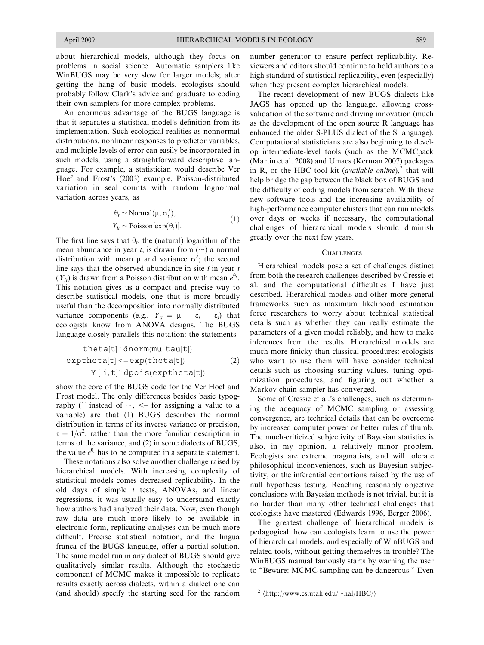about hierarchical models, although they focus on problems in social science. Automatic samplers like WinBUGS may be very slow for larger models; after getting the hang of basic models, ecologists should probably follow Clark's advice and graduate to coding their own samplers for more complex problems.

An enormous advantage of the BUGS language is that it separates a statistical model's definition from its implementation. Such ecological realities as nonnormal distributions, nonlinear responses to predictor variables, and multiple levels of error can easily be incorporated in such models, using a straightforward descriptive language. For example, a statistician would describe Ver Hoef and Frost's (2003) example, Poisson-distributed variation in seal counts with random lognormal variation across years, as

$$
\theta_t \sim \text{Normal}(\mu, \sigma_t^2),
$$
  
\n
$$
Y_{it} \sim \text{Poisson}[\exp(\theta_t)].
$$
\n(1)

The first line says that  $\theta_t$ , the (natural) logarithm of the mean abundance in year t, is drawn from  $(\sim)$  a normal distribution with mean  $\mu$  and variance  $\sigma^2$ ; the second line says that the observed abundance in site  $i$  in year  $t$  $(Y_{it})$  is drawn from a Poisson distribution with mean  $e^{\theta_t}$ . This notation gives us a compact and precise way to describe statistical models, one that is more broadly useful than the decomposition into normally distributed variance components (e.g.,  $Y_{ii} = \mu + \varepsilon_i + \varepsilon_j$ ) that ecologists know from ANOVA designs. The BUGS language closely parallels this notation: the statements

\n
$$
\text{theta}[t]^\neg \text{dorm(mu, tau[t])}
$$
\n  
\n $\text{exptheta}[t] <- \exp(\text{theta}[t])$ \n  
\n $\text{Y} [i, t]^\neg \text{dois}(\text{exptheta}[t])$ \n

show the core of the BUGS code for the Ver Hoef and Frost model. The only differences besides basic typography ( $\tilde{ }$  instead of  $\sim$ ,  $\lt$  for assigning a value to a variable) are that (1) BUGS describes the normal distribution in terms of its inverse variance or precision,  $\tau = 1/\sigma^2$ , rather than the more familiar description in terms of the variance, and (2) in some dialects of BUGS, the value  $e^{\theta_t}$  has to be computed in a separate statement.

These notations also solve another challenge raised by hierarchical models. With increasing complexity of statistical models comes decreased replicability. In the old days of simple  $t$  tests, ANOVAs, and linear regressions, it was usually easy to understand exactly how authors had analyzed their data. Now, even though raw data are much more likely to be available in electronic form, replicating analyses can be much more difficult. Precise statistical notation, and the lingua franca of the BUGS language, offer a partial solution. The same model run in any dialect of BUGS should give qualitatively similar results. Although the stochastic component of MCMC makes it impossible to replicate results exactly across dialects, within a dialect one can (and should) specify the starting seed for the random number generator to ensure perfect replicability. Reviewers and editors should continue to hold authors to a high standard of statistical replicability, even (especially) when they present complex hierarchical models.

The recent development of new BUGS dialects like JAGS has opened up the language, allowing crossvalidation of the software and driving innovation (much as the development of the open source R language has enhanced the older S-PLUS dialect of the S language). Computational statisticians are also beginning to develop intermediate-level tools (such as the MCMCpack (Martin et al. 2008) and Umacs (Kerman 2007) packages in R, or the HBC tool kit (*available online*),<sup>2</sup> that will help bridge the gap between the black box of BUGS and the difficulty of coding models from scratch. With these new software tools and the increasing availability of high-performance computer clusters that can run models over days or weeks if necessary, the computational challenges of hierarchical models should diminish greatly over the next few years.

### **CHALLENGES**

Hierarchical models pose a set of challenges distinct from both the research challenges described by Cressie et al. and the computational difficulties I have just described. Hierarchical models and other more general frameworks such as maximum likelihood estimation force researchers to worry about technical statistical details such as whether they can really estimate the parameters of a given model reliably, and how to make inferences from the results. Hierarchical models are much more finicky than classical procedures: ecologists who want to use them will have consider technical details such as choosing starting values, tuning optimization procedures, and figuring out whether a Markov chain sampler has converged.

Some of Cressie et al.'s challenges, such as determining the adequacy of MCMC sampling or assessing convergence, are technical details that can be overcome by increased computer power or better rules of thumb. The much-criticized subjectivity of Bayesian statistics is also, in my opinion, a relatively minor problem. Ecologists are extreme pragmatists, and will tolerate philosophical inconveniences, such as Bayesian subjectivity, or the inferential contortions raised by the use of null hypothesis testing. Reaching reasonably objective conclusions with Bayesian methods is not trivial, but it is no harder than many other technical challenges that ecologists have mastered (Edwards 1996, Berger 2006).

The greatest challenge of hierarchical models is pedagogical: how can ecologists learn to use the power of hierarchical models, and especially of WinBUGS and related tools, without getting themselves in trouble? The WinBUGS manual famously starts by warning the user to ''Beware: MCMC sampling can be dangerous!'' Even

<sup>2</sup>  $\langle$ http://www.cs.utah.edu/~hal/HBC/ $\rangle$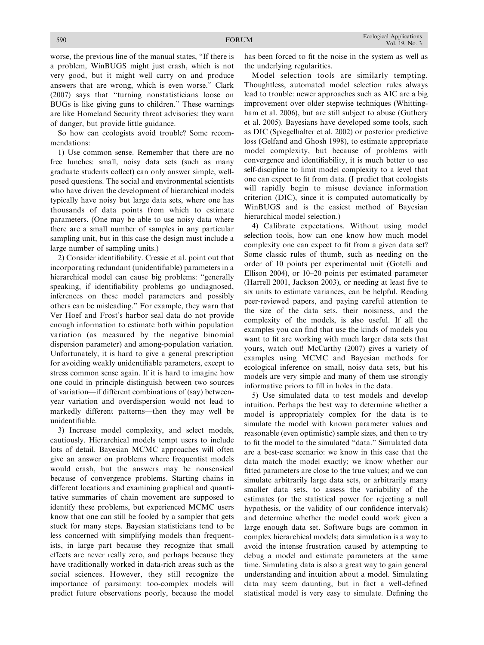worse, the previous line of the manual states, ''If there is a problem, WinBUGS might just crash, which is not very good, but it might well carry on and produce answers that are wrong, which is even worse.'' Clark (2007) says that ''turning nonstatisticians loose on BUGs is like giving guns to children.'' These warnings are like Homeland Security threat advisories: they warn of danger, but provide little guidance.

So how can ecologists avoid trouble? Some recommendations:

1) Use common sense. Remember that there are no free lunches: small, noisy data sets (such as many graduate students collect) can only answer simple, wellposed questions. The social and environmental scientists who have driven the development of hierarchical models typically have noisy but large data sets, where one has thousands of data points from which to estimate parameters. (One may be able to use noisy data where there are a small number of samples in any particular sampling unit, but in this case the design must include a large number of sampling units.)

2) Consider identifiability. Cressie et al. point out that incorporating redundant (unidentifiable) parameters in a hierarchical model can cause big problems: "generally speaking, if identifiability problems go undiagnosed, inferences on these model parameters and possibly others can be misleading.'' For example, they warn that Ver Hoef and Frost's harbor seal data do not provide enough information to estimate both within population variation (as measured by the negative binomial dispersion parameter) and among-population variation. Unfortunately, it is hard to give a general prescription for avoiding weakly unidentifiable parameters, except to stress common sense again. If it is hard to imagine how one could in principle distinguish between two sources of variation—if different combinations of (say) betweenyear variation and overdispersion would not lead to markedly different patterns—then they may well be unidentifiable.

3) Increase model complexity, and select models, cautiously. Hierarchical models tempt users to include lots of detail. Bayesian MCMC approaches will often give an answer on problems where frequentist models would crash, but the answers may be nonsensical because of convergence problems. Starting chains in different locations and examining graphical and quantitative summaries of chain movement are supposed to identify these problems, but experienced MCMC users know that one can still be fooled by a sampler that gets stuck for many steps. Bayesian statisticians tend to be less concerned with simplifying models than frequentists, in large part because they recognize that small effects are never really zero, and perhaps because they have traditionally worked in data-rich areas such as the social sciences. However, they still recognize the importance of parsimony: too-complex models will predict future observations poorly, because the model

has been forced to fit the noise in the system as well as the underlying regularities.

Model selection tools are similarly tempting. Thoughtless, automated model selection rules always lead to trouble: newer approaches such as AIC are a big improvement over older stepwise techniques (Whittingham et al. 2006), but are still subject to abuse (Guthery et al. 2005). Bayesians have developed some tools, such as DIC (Spiegelhalter et al. 2002) or posterior predictive loss (Gelfand and Ghosh 1998), to estimate appropriate model complexity, but because of problems with convergence and identifiability, it is much better to use self-discipline to limit model complexity to a level that one can expect to fit from data. (I predict that ecologists will rapidly begin to misuse deviance information criterion (DIC), since it is computed automatically by WinBUGS and is the easiest method of Bayesian hierarchical model selection.)

4) Calibrate expectations. Without using model selection tools, how can one know how much model complexity one can expect to fit from a given data set? Some classic rules of thumb, such as needing on the order of 10 points per experimental unit (Gotelli and Ellison 2004), or 10–20 points per estimated parameter (Harrell 2001, Jackson 2003), or needing at least five to six units to estimate variances, can be helpful. Reading peer-reviewed papers, and paying careful attention to the size of the data sets, their noisiness, and the complexity of the models, is also useful. If all the examples you can find that use the kinds of models you want to fit are working with much larger data sets that yours, watch out! McCarthy (2007) gives a variety of examples using MCMC and Bayesian methods for ecological inference on small, noisy data sets, but his models are very simple and many of them use strongly informative priors to fill in holes in the data.

5) Use simulated data to test models and develop intuition. Perhaps the best way to determine whether a model is appropriately complex for the data is to simulate the model with known parameter values and reasonable (even optimistic) sample sizes, and then to try to fit the model to the simulated ''data.'' Simulated data are a best-case scenario: we know in this case that the data match the model exactly; we know whether our fitted parameters are close to the true values; and we can simulate arbitrarily large data sets, or arbitrarily many smaller data sets, to assess the variability of the estimates (or the statistical power for rejecting a null hypothesis, or the validity of our confidence intervals) and determine whether the model could work given a large enough data set. Software bugs are common in complex hierarchical models; data simulation is a way to avoid the intense frustration caused by attempting to debug a model and estimate parameters at the same time. Simulating data is also a great way to gain general understanding and intuition about a model. Simulating data may seem daunting, but in fact a well-defined statistical model is very easy to simulate. Defining the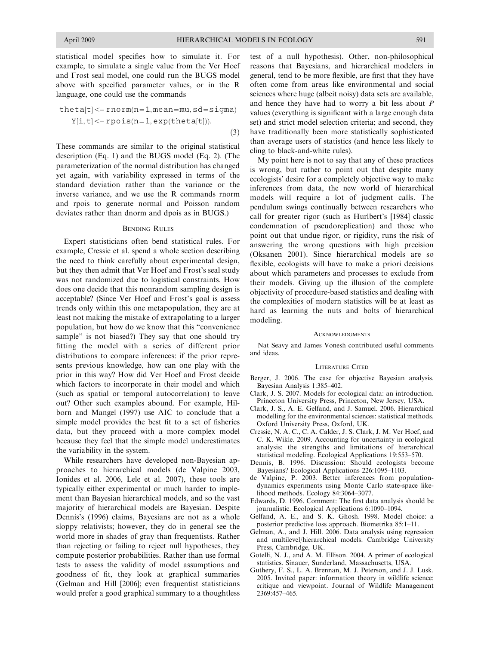statistical model specifies how to simulate it. For example, to simulate a single value from the Ver Hoef and Frost seal model, one could run the BUGS model above with specified parameter values, or in the R language, one could use the commands

$$
theta[t] <- \text{norm}(n=1, \text{mean} = \text{mu}, \text{sd} = \text{sigma})
$$
\n
$$
Y[i, t] <- \text{pois}(n=1, \text{exp}(\text{theta}[t])).\n \tag{3})
$$

These commands are similar to the original statistical description (Eq. 1) and the BUGS model (Eq. 2). (The parameterization of the normal distribution has changed yet again, with variability expressed in terms of the standard deviation rather than the variance or the inverse variance, and we use the R commands rnorm and rpois to generate normal and Poisson random deviates rather than dnorm and dpois as in BUGS.)

## BENDING RULES

Expert statisticians often bend statistical rules. For example, Cressie et al. spend a whole section describing the need to think carefully about experimental design, but they then admit that Ver Hoef and Frost's seal study was not randomized due to logistical constraints. How does one decide that this nonrandom sampling design is acceptable? (Since Ver Hoef and Frost's goal is assess trends only within this one metapopulation, they are at least not making the mistake of extrapolating to a larger population, but how do we know that this ''convenience sample" is not biased?) They say that one should try fitting the model with a series of different prior distributions to compare inferences: if the prior represents previous knowledge, how can one play with the prior in this way? How did Ver Hoef and Frost decide which factors to incorporate in their model and which (such as spatial or temporal autocorrelation) to leave out? Other such examples abound. For example, Hilborn and Mangel (1997) use AIC to conclude that a simple model provides the best fit to a set of fisheries data, but they proceed with a more complex model because they feel that the simple model underestimates the variability in the system.

While researchers have developed non-Bayesian approaches to hierarchical models (de Valpine 2003, Ionides et al. 2006, Lele et al. 2007), these tools are typically either experimental or much harder to implement than Bayesian hierarchical models, and so the vast majority of hierarchical models are Bayesian. Despite Dennis's (1996) claims, Bayesians are not as a whole sloppy relativists; however, they do in general see the world more in shades of gray than frequentists. Rather than rejecting or failing to reject null hypotheses, they compute posterior probabilities. Rather than use formal tests to assess the validity of model assumptions and goodness of fit, they look at graphical summaries (Gelman and Hill [2006]; even frequentist statisticians would prefer a good graphical summary to a thoughtless

test of a null hypothesis). Other, non-philosophical reasons that Bayesians, and hierarchical modelers in general, tend to be more flexible, are first that they have often come from areas like environmental and social sciences where huge (albeit noisy) data sets are available, and hence they have had to worry a bit less about P values (everything is significant with a large enough data set) and strict model selection criteria; and second, they have traditionally been more statistically sophisticated than average users of statistics (and hence less likely to cling to black-and-white rules).

My point here is not to say that any of these practices is wrong, but rather to point out that despite many ecologists' desire for a completely objective way to make inferences from data, the new world of hierarchical models will require a lot of judgment calls. The pendulum swings continually between researchers who call for greater rigor (such as Hurlbert's [1984] classic condemnation of pseudoreplication) and those who point out that undue rigor, or rigidity, runs the risk of answering the wrong questions with high precision (Oksanen 2001). Since hierarchical models are so flexible, ecologists will have to make a priori decisions about which parameters and processes to exclude from their models. Giving up the illusion of the complete objectivity of procedure-based statistics and dealing with the complexities of modern statistics will be at least as hard as learning the nuts and bolts of hierarchical modeling.

### ACKNOWLEDGMENTS

Nat Seavy and James Vonesh contributed useful comments and ideas.

- Berger, J. 2006. The case for objective Bayesian analysis. Bayesian Analysis 1:385–402.
- Clark, J. S. 2007. Models for ecological data: an introduction. Princeton University Press, Princeton, New Jersey, USA.
- Clark, J. S., A. E. Gelfand, and J. Samuel. 2006. Hierarchical modelling for the environmental sciences: statistical methods. Oxford University Press, Oxford, UK.
- Cressie, N. A. C., C. A. Calder, J. S. Clark, J. M. Ver Hoef, and C. K. Wikle. 2009. Accounting for uncertainty in ecological analysis: the strengths and limitations of hierarchical statistical modeling. Ecological Applications 19:553–570.
- Dennis, B. 1996. Discussion: Should ecologists become Bayesians? Ecological Applications 226:1095–1103.
- de Valpine, P. 2003. Better inferences from populationdynamics experiments using Monte Carlo state-space likelihood methods. Ecology 84:3064–3077.
- Edwards, D. 1996. Comment: The first data analysis should be journalistic. Ecological Applications 6:1090–1094.
- Gelfand, A. E., and S. K. Ghosh. 1998. Model choice: a posterior predictive loss approach. Biometrika 85:1–11.
- Gelman, A., and J. Hill. 2006. Data analysis using regression and multilevel/hierarchical models. Cambridge University Press, Cambridge, UK.
- Gotelli, N. J., and A. M. Ellison. 2004. A primer of ecological statistics. Sinauer, Sunderland, Massachusetts, USA.
- Guthery, F. S., L. A. Brennan, M. J. Peterson, and J. J. Lusk. 2005. Invited paper: information theory in wildlife science: critique and viewpoint. Journal of Wildlife Management 2369:457–465.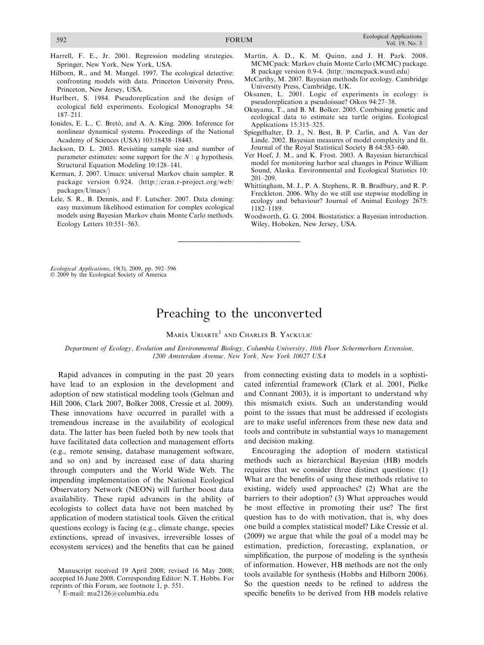- Harrell, F. E., Jr. 2001. Regression modeling strategies. Springer, New York, New York, USA.
- Hilborn, R., and M. Mangel. 1997. The ecological detective: confronting models with data. Princeton University Press, Princeton, New Jersey, USA.
- Hurlbert, S. 1984. Pseudoreplication and the design of ecological field experiments. Ecological Monographs 54: 187–211.
- Ionides, E. L., C. Bretó, and A. A. King. 2006. Inference for nonlinear dynamical systems. Proceedings of the National Academy of Sciences (USA) 103:18438–18443.
- Jackson, D. L. 2003. Revisiting sample size and number of parameter estimates: some support for the  $N : q$  hypothesis. Structural Equation Modeling 10:128–141.
- Kerman, J. 2007. Umacs: universal Markov chain sampler. R package version 0.924.  $\hbox{(http://cran.r-project.org/web/}$  $packages/Umacs/\rangle$
- Lele, S. R., B. Dennis, and F. Lutscher. 2007. Data cloning: easy maximum likelihood estimation for complex ecological models using Bayesian Markov chain Monte Carlo methods. Ecology Letters 10:551–563.
- Martin, A. D., K. M. Quinn, and J. H. Park. 2008. MCMCpack: Markov chain Monte Carlo (MCMC) package. R package version 0.9-4. (http://mcmcpack.wustl.edu)
- McCarthy, M. 2007. Bayesian methods for ecology. Cambridge University Press, Cambridge, UK.
- Oksanen, L. 2001. Logic of experiments in ecology: is pseudoreplication a pseudoissue? Oikos 94:27–38.
- Okuyama, T., and B. M. Bolker. 2005. Combining genetic and ecological data to estimate sea turtle origins. Ecological Applications 15:315–325.
- Spiegelhalter, D. J., N. Best, B. P. Carlin, and A. Van der Linde. 2002. Bayesian measures of model complexity and fit. Journal of the Royal Statistical Society B 64:583–640.
- Ver Hoef, J. M., and K. Frost. 2003. A Bayesian hierarchical model for monitoring harbor seal changes in Prince William Sound, Alaska. Environmental and Ecological Statistics 10: 201–209.
- Whittingham, M. J., P. A. Stephens, R. B. Bradbury, and R. P. Freckleton. 2006. Why do we still use stepwise modelling in ecology and behaviour? Journal of Animal Ecology 2675: 1182–1189.
- Woodworth, G. G. 2004. Biostatistics: a Bayesian introduction. Wiley, Hoboken, New Jersey, USA.

Ecological Applications, 19(3), 2009, pp. 592–596

 $\odot$  2009 by the Ecological Society of America

# Preaching to the unconverted

\_\_\_\_\_\_\_\_\_\_\_\_\_\_\_\_\_\_\_\_\_\_\_\_\_\_\_\_\_\_\_\_

# MARÍA URIARTE<sup>1</sup> AND CHARLES B. YACKULIC

Department of Ecology, Evolution and Environmental Biology, Columbia University, 10th Floor Schermerhorn Extension, 1200 Amsterdam Avenue, New York, New York 10027 USA

Rapid advances in computing in the past 20 years have lead to an explosion in the development and adoption of new statistical modeling tools (Gelman and Hill 2006, Clark 2007, Bolker 2008, Cressie et al. 2009). These innovations have occurred in parallel with a tremendous increase in the availability of ecological data. The latter has been fueled both by new tools that have facilitated data collection and management efforts (e.g., remote sensing, database management software, and so on) and by increased ease of data sharing through computers and the World Wide Web. The impending implementation of the National Ecological Observatory Network (NEON) will further boost data availability. These rapid advances in the ability of ecologists to collect data have not been matched by application of modern statistical tools. Given the critical questions ecology is facing (e.g., climate change, species extinctions, spread of invasives, irreversible losses of ecosystem services) and the benefits that can be gained

from connecting existing data to models in a sophisticated inferential framework (Clark et al. 2001, Pielke and Connant 2003), it is important to understand why this mismatch exists. Such an understanding would point to the issues that must be addressed if ecologists are to make useful inferences from these new data and tools and contribute in substantial ways to management and decision making.

Encouraging the adoption of modern statistical methods such as hierarchical Bayesian (HB) models requires that we consider three distinct questions: (1) What are the benefits of using these methods relative to existing, widely used approaches? (2) What are the barriers to their adoption? (3) What approaches would be most effective in promoting their use? The first question has to do with motivation, that is, why does one build a complex statistical model? Like Cressie et al. (2009) we argue that while the goal of a model may be estimation, prediction, forecasting, explanation, or simplification, the purpose of modeling is the synthesis of information. However, HB methods are not the only tools available for synthesis (Hobbs and Hilborn 2006). So the question needs to be refined to address the specific benefits to be derived from HB models relative

Manuscript received 19 April 2008; revised 16 May 2008; accepted 16 June 2008. Corresponding Editor: N. T. Hobbs. For reprints of this Forum, see footnote 1, p. 551.<br> $\frac{1}{1}$  E-mail: mu2126@columbia.edu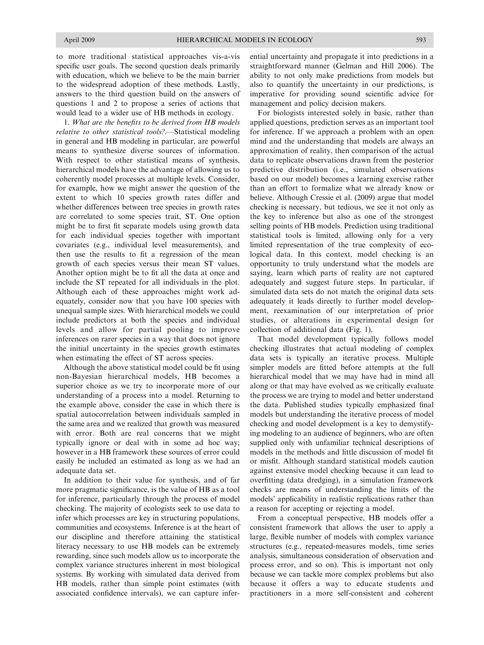to more traditional statistical approaches vis-a-vis specific user goals. The second question deals primarily with education, which we believe to be the main barrier to the widespread adoption of these methods. Lastly, answers to the third question build on the answers of questions 1 and 2 to propose a series of actions that would lead to a wider use of HB methods in ecology.

1. What are the benefits to be derived from HB models relative to other statistical tools?.—Statistical modeling in general and HB modeling in particular, are powerful means to synthesize diverse sources of information. With respect to other statistical means of synthesis, hierarchical models have the advantage of allowing us to coherently model processes at multiple levels. Consider, for example, how we might answer the question of the extent to which 10 species growth rates differ and whether differences between tree species in growth rates are correlated to some species trait, ST. One option might be to first fit separate models using growth data for each individual species together with important covariates (e.g., individual level measurements), and then use the results to fit a regression of the mean growth of each species versus their mean ST values. Another option might be to fit all the data at once and include the ST repeated for all individuals in the plot. Although each of these approaches might work adequately, consider now that you have 100 species with unequal sample sizes. With hierarchical models we could include predictors at both the species and individual levels and allow for partial pooling to improve inferences on rarer species in a way that does not ignore the initial uncertainty in the species growth estimates when estimating the effect of ST across species.

Although the above statistical model could be fit using non-Bayesian hierarchical models, HB becomes a superior choice as we try to incorporate more of our understanding of a process into a model. Returning to the example above, consider the case in which there is spatial autocorrelation between individuals sampled in the same area and we realized that growth was measured with error. Both are real concerns that we might typically ignore or deal with in some ad hoc way; however in a HB framework these sources of error could easily be included an estimated as long as we had an adequate data set.

In addition to their value for synthesis, and of far more pragmatic significance, is the value of HB as a tool for inference, particularly through the process of model checking. The majority of ecologists seek to use data to infer which processes are key in structuring populations, communities and ecosystems. Inference is at the heart of our discipline and therefore attaining the statistical literacy necessary to use HB models can be extremely rewarding, since such models allow us to incorporate the complex variance structures inherent in most biological systems. By working with simulated data derived from HB models, rather than simple point estimates (with associated confidence intervals), we can capture inferential uncertainty and propagate it into predictions in a straightforward manner (Gelman and Hill 2006). The ability to not only make predictions from models but also to quantify the uncertainty in our predictions, is imperative for providing sound scientific advice for management and policy decision makers.

For biologists interested solely in basic, rather than applied questions, prediction serves as an important tool for inference. If we approach a problem with an open mind and the understanding that models are always an approximation of reality, then comparison of the actual data to replicate observations drawn from the posterior predictive distribution (i.e., simulated observations based on our model) becomes a learning exercise rather than an effort to formalize what we already know or believe. Although Cressie et al. (2009) argue that model checking is necessary, but tedious, we see it not only as the key to inference but also as one of the strongest selling points of HB models. Prediction using traditional statistical tools is limited, allowing only for a very limited representation of the true complexity of ecological data. In this context, model checking is an opportunity to truly understand what the models are saying, learn which parts of reality are not captured adequately and suggest future steps. In particular, if simulated data sets do not match the original data sets adequately it leads directly to further model development, reexamination of our interpretation of prior studies, or alterations in experimental design for collection of additional data (Fig. 1).

That model development typically follows model checking illustrates that actual modeling of complex data sets is typically an iterative process. Multiple simpler models are fitted before attempts at the full hierarchical model that we may have had in mind all along or that may have evolved as we critically evaluate the process we are trying to model and better understand the data. Published studies typically emphasized final models but understanding the iterative process of model checking and model development is a key to demystifying modeling to an audience of beginners, who are often supplied only with unfamiliar technical descriptions of models in the methods and little discussion of model fit or misfit. Although standard statistical models caution against extensive model checking because it can lead to overfitting (data dredging), in a simulation framework checks are means of understanding the limits of the models' applicability in realistic replications rather than a reason for accepting or rejecting a model.

From a conceptual perspective, HB models offer a consistent framework that allows the user to apply a large, flexible number of models with complex variance structures (e.g., repeated-measures models, time series analysis, simultaneous consideration of observation and process error, and so on). This is important not only because we can tackle more complex problems but also because it offers a way to educate students and practitioners in a more self-consistent and coherent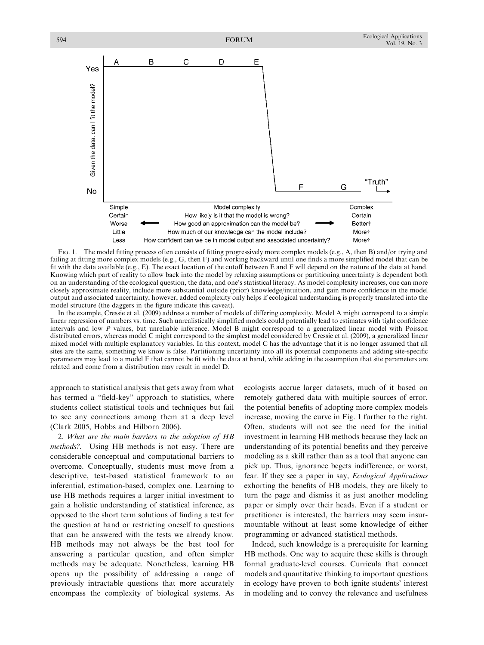

FIG. 1. The model fitting process often consists of fitting progressively more complex models (e.g., A, then B) and/or trying and failing at fitting more complex models (e.g., G, then F) and working backward until one finds a more simplified model that can be fit with the data available (e.g., E). The exact location of the cutoff between E and F will depend on the nature of the data at hand. Knowing which part of reality to allow back into the model by relaxing assumptions or partitioning uncertainty is dependent both on an understanding of the ecological question, the data, and one's statistical literacy. As model complexity increases, one can more closely approximate reality, include more substantial outside (prior) knowledge/intuition, and gain more confidence in the model output and associated uncertainty; however, added complexity only helps if ecological understanding is properly translated into the model structure (the daggers in the figure indicate this caveat).

In the example, Cressie et al. (2009) address a number of models of differing complexity. Model A might correspond to a simple linear regression of numbers vs. time. Such unrealistically simplified models could potentially lead to estimates with tight confidence intervals and low P values, but unreliable inference. Model B might correspond to a generalized linear model with Poisson distributed errors, whereas model C might correspond to the simplest model considered by Cressie et al. (2009), a generalized linear mixed model with multiple explanatory variables. In this context, model C has the advantage that it is no longer assumed that all sites are the same, something we know is false. Partitioning uncertainty into all its potential components and adding site-specific parameters may lead to a model F that cannot be fit with the data at hand, while adding in the assumption that site parameters are related and come from a distribution may result in model D.

approach to statistical analysis that gets away from what has termed a "field-key" approach to statistics, where students collect statistical tools and techniques but fail to see any connections among them at a deep level (Clark 2005, Hobbs and Hilborn 2006).

2. What are the main barriers to the adoption of HB methods?.—Using HB methods is not easy. There are considerable conceptual and computational barriers to overcome. Conceptually, students must move from a descriptive, test-based statistical framework to an inferential, estimation-based, complex one. Learning to use HB methods requires a larger initial investment to gain a holistic understanding of statistical inference, as opposed to the short term solutions of finding a test for the question at hand or restricting oneself to questions that can be answered with the tests we already know. HB methods may not always be the best tool for answering a particular question, and often simpler methods may be adequate. Nonetheless, learning HB opens up the possibility of addressing a range of previously intractable questions that more accurately encompass the complexity of biological systems. As ecologists accrue larger datasets, much of it based on remotely gathered data with multiple sources of error, the potential benefits of adopting more complex models increase, moving the curve in Fig. 1 further to the right. Often, students will not see the need for the initial investment in learning HB methods because they lack an understanding of its potential benefits and they perceive modeling as a skill rather than as a tool that anyone can pick up. Thus, ignorance begets indifference, or worst, fear. If they see a paper in say, Ecological Applications exhorting the benefits of HB models, they are likely to turn the page and dismiss it as just another modeling paper or simply over their heads. Even if a student or practitioner is interested, the barriers may seem insurmountable without at least some knowledge of either programming or advanced statistical methods.

Indeed, such knowledge is a prerequisite for learning HB methods. One way to acquire these skills is through formal graduate-level courses. Curricula that connect models and quantitative thinking to important questions in ecology have proven to both ignite students' interest in modeling and to convey the relevance and usefulness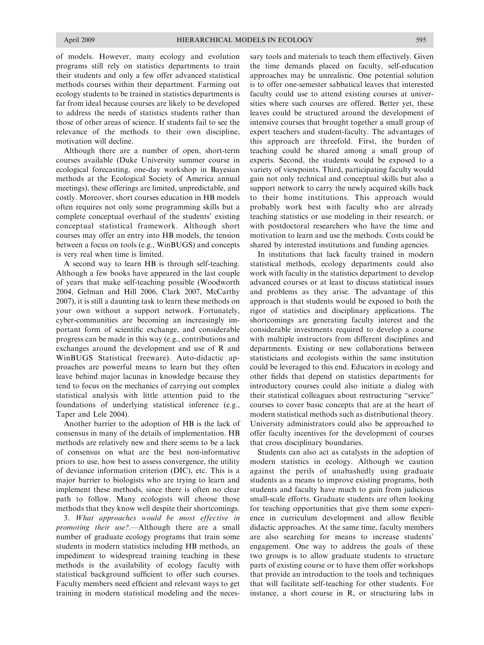of models. However, many ecology and evolution programs still rely on statistics departments to train their students and only a few offer advanced statistical methods courses within their department. Farming out ecology students to be trained in statistics departments is far from ideal because courses are likely to be developed to address the needs of statistics students rather than those of other areas of science. If students fail to see the relevance of the methods to their own discipline, motivation will decline.

Although there are a number of open, short-term courses available (Duke University summer course in ecological forecasting, one-day workshop in Bayesian methods at the Ecological Society of America annual meetings), these offerings are limited, unpredictable, and costly. Moreover, short courses education in HB models often requires not only some programming skills but a complete conceptual overhaul of the students' existing conceptual statistical framework. Although short courses may offer an entry into HB models, the tension between a focus on tools (e.g., WinBUGS) and concepts is very real when time is limited.

A second way to learn HB is through self-teaching. Although a few books have appeared in the last couple of years that make self-teaching possible (Woodworth 2004, Gelman and Hill 2006, Clark 2007, McCarthy 2007), it is still a daunting task to learn these methods on your own without a support network. Fortunately, cyber-communities are becoming an increasingly important form of scientific exchange, and considerable progress can be made in this way (e.g., contributions and exchanges around the development and use of R and WinBUGS Statistical freeware). Auto-didactic approaches are powerful means to learn but they often leave behind major lacunas in knowledge because they tend to focus on the mechanics of carrying out complex statistical analysis with little attention paid to the foundations of underlying statistical inference (e.g., Taper and Lele 2004).

Another barrier to the adoption of HB is the lack of consensus in many of the details of implementation. HB methods are relatively new and there seems to be a lack of consensus on what are the best non-informative priors to use, how best to assess convergence, the utility of deviance information criterion (DIC), etc. This is a major barrier to biologists who are trying to learn and implement these methods, since there is often no clear path to follow. Many ecologists will choose those methods that they know well despite their shortcomings.

3. What approaches would be most effective in promoting their use?.—Although there are a small number of graduate ecology programs that train some students in modern statistics including HB methods, an impediment to widespread training teaching in these methods is the availability of ecology faculty with statistical background sufficient to offer such courses. Faculty members need efficient and relevant ways to get training in modern statistical modeling and the necessary tools and materials to teach them effectively. Given the time demands placed on faculty, self-education approaches may be unrealistic. One potential solution is to offer one-semester sabbatical leaves that interested faculty could use to attend existing courses at universities where such courses are offered. Better yet, these leaves could be structured around the development of intensive courses that brought together a small group of expert teachers and student-faculty. The advantages of this approach are threefold. First, the burden of teaching could be shared among a small group of experts. Second, the students would be exposed to a variety of viewpoints. Third, participating faculty would gain not only technical and conceptual skills but also a support network to carry the newly acquired skills back to their home institutions. This approach would probably work best with faculty who are already teaching statistics or use modeling in their research, or with postdoctoral researchers who have the time and motivation to learn and use the methods. Costs could be shared by interested institutions and funding agencies.

In institutions that lack faculty trained in modern statistical methods, ecology departments could also work with faculty in the statistics department to develop advanced courses or at least to discuss statistical issues and problems as they arise. The advantage of this approach is that students would be exposed to both the rigor of statistics and disciplinary applications. The shortcomings are generating faculty interest and the considerable investments required to develop a course with multiple instructors from different disciplines and departments. Existing or new collaborations between statisticians and ecologists within the same institution could be leveraged to this end. Educators in ecology and other fields that depend on statistics departments for introductory courses could also initiate a dialog with their statistical colleagues about restructuring ''service'' courses to cover basic concepts that are at the heart of modern statistical methods such as distributional theory. University administrators could also be approached to offer faculty incentives for the development of courses that cross disciplinary boundaries.

Students can also act as catalysts in the adoption of modern statistics in ecology. Although we caution against the perils of unabashedly using graduate students as a means to improve existing programs, both students and faculty have much to gain from judicious small-scale efforts. Graduate students are often looking for teaching opportunities that give them some experience in curriculum development and allow flexible didactic approaches. At the same time, faculty members are also searching for means to increase students' engagement. One way to address the goals of these two groups is to allow graduate students to structure parts of existing course or to have them offer workshops that provide an introduction to the tools and techniques that will facilitate self-teaching for other students. For instance, a short course in R, or structuring labs in